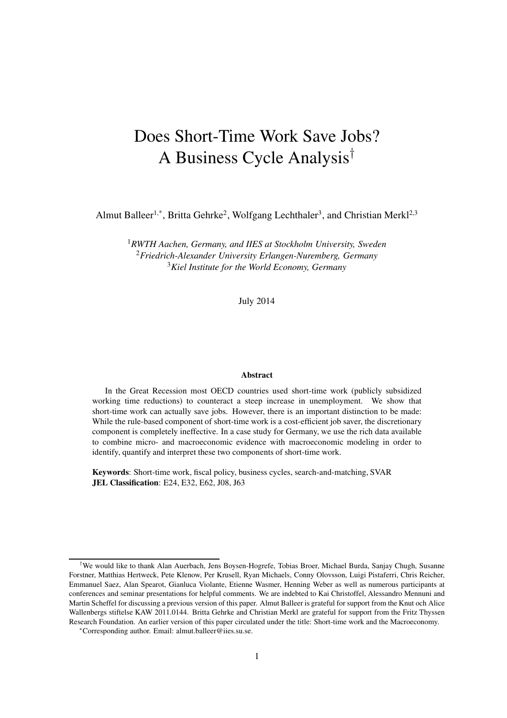# Does Short-Time Work Save Jobs? A Business Cycle Analysis†

Almut Balleer<sup>1,\*</sup>, Britta Gehrke<sup>2</sup>, Wolfgang Lechthaler<sup>3</sup>, and Christian Merkl<sup>2,3</sup>

<sup>1</sup>*RWTH Aachen, Germany, and IIES at Stockholm University, Sweden* <sup>2</sup>*Friedrich-Alexander University Erlangen-Nuremberg, Germany* <sup>3</sup>*Kiel Institute for the World Economy, Germany*

July 2014

#### Abstract

In the Great Recession most OECD countries used short-time work (publicly subsidized working time reductions) to counteract a steep increase in unemployment. We show that short-time work can actually save jobs. However, there is an important distinction to be made: While the rule-based component of short-time work is a cost-efficient job saver, the discretionary component is completely ineffective. In a case study for Germany, we use the rich data available to combine micro- and macroeconomic evidence with macroeconomic modeling in order to identify, quantify and interpret these two components of short-time work.

Keywords: Short-time work, fiscal policy, business cycles, search-and-matching, SVAR JEL Classification: E24, E32, E62, J08, J63

<sup>†</sup>We would like to thank Alan Auerbach, Jens Boysen-Hogrefe, Tobias Broer, Michael Burda, Sanjay Chugh, Susanne Forstner, Matthias Hertweck, Pete Klenow, Per Krusell, Ryan Michaels, Conny Olovsson, Luigi Pistaferri, Chris Reicher, Emmanuel Saez, Alan Spearot, Gianluca Violante, Etienne Wasmer, Henning Weber as well as numerous participants at conferences and seminar presentations for helpful comments. We are indebted to Kai Christoffel, Alessandro Mennuni and Martin Scheffel for discussing a previous version of this paper. Almut Balleer is grateful for support from the Knut och Alice Wallenbergs stiftelse KAW 2011.0144. Britta Gehrke and Christian Merkl are grateful for support from the Fritz Thyssen Research Foundation. An earlier version of this paper circulated under the title: Short-time work and the Macroeconomy.

<sup>∗</sup>Corresponding author. Email: almut.balleer@iies.su.se.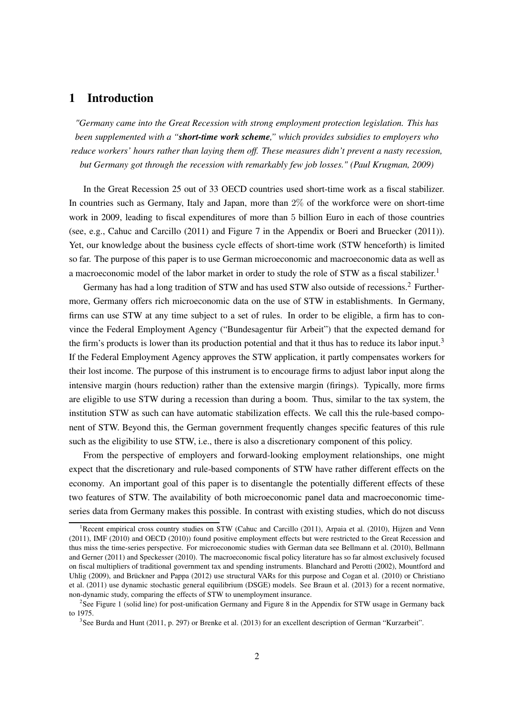### 1 Introduction

*"Germany came into the Great Recession with strong employment protection legislation. This has been supplemented with a "short-time work scheme," which provides subsidies to employers who reduce workers' hours rather than laying them off. These measures didn't prevent a nasty recession, but Germany got through the recession with remarkably few job losses." (Paul Krugman, 2009)*

In the Great Recession 25 out of 33 OECD countries used short-time work as a fiscal stabilizer. In countries such as Germany, Italy and Japan, more than 2% of the workforce were on short-time work in 2009, leading to fiscal expenditures of more than 5 billion Euro in each of those countries (see, e.g., [Cahuc and Carcillo](#page-38-0) [\(2011](#page-38-0)) and Figure [7](#page-43-0) in the Appendix or [Boeri and Bruecker \(2011\)](#page-37-0)). Yet, our knowledge about the business cycle effects of short-time work (STW henceforth) is limited so far. The purpose of this paper is to use German microeconomic and macroeconomic data as well as a macroeconomic model of the labor market in order to study the role of STW as a fiscal stabilizer.<sup>[1](#page-1-0)</sup>

Germany has had a long tradition of STW and has used STW also outside of recessions.<sup>[2](#page-1-1)</sup> Furthermore, Germany offers rich microeconomic data on the use of STW in establishments. In Germany, firms can use STW at any time subject to a set of rules. In order to be eligible, a firm has to convince the Federal Employment Agency ("Bundesagentur für Arbeit") that the expected demand for the firm's products is lower than its production potential and that it thus has to reduce its labor input.<sup>[3](#page-1-2)</sup> If the Federal Employment Agency approves the STW application, it partly compensates workers for their lost income. The purpose of this instrument is to encourage firms to adjust labor input along the intensive margin (hours reduction) rather than the extensive margin (firings). Typically, more firms are eligible to use STW during a recession than during a boom. Thus, similar to the tax system, the institution STW as such can have automatic stabilization effects. We call this the rule-based component of STW. Beyond this, the German government frequently changes specific features of this rule such as the eligibility to use STW, i.e., there is also a discretionary component of this policy.

From the perspective of employers and forward-looking employment relationships, one might expect that the discretionary and rule-based components of STW have rather different effects on the economy. An important goal of this paper is to disentangle the potentially different effects of these two features of STW. The availability of both microeconomic panel data and macroeconomic timeseries data from Germany makes this possible. In contrast with existing studies, which do not discuss

<span id="page-1-0"></span><sup>&</sup>lt;sup>1</sup>Recent empirical cross country studies on STW [\(Cahuc and Carcillo \(2011\)](#page-38-0), [Arpaia et al. \(2010\)](#page-37-1), [Hijzen and Venn](#page-39-0) [\(2011\)](#page-39-0), [IMF \(2010](#page-39-1)) and [OECD \(2010](#page-39-2))) found positive employment effects but were restricted to the Great Recession and thus miss t[he time-series perspective. For microeconomic studies with German data see](#page-37-3) [Bellmann et al. \(2010](#page-37-2)[\),](#page-37-3) Bellmann and Gerner [\(2011\)](#page-37-3) and [Speckesser \(2010\)](#page-40-0). The macroeconomic fiscal policy literature has so far almost exclusively focused on fis[cal multipliers of traditional government tax and spending instruments.](#page-39-3) [Blanchard and Perotti \(2002](#page-37-4)[\),](#page-39-3) Mountford and Uhli[g](#page-38-2) [\(2009](#page-39-3)[\), and](#page-38-2) [Brückner and Pappa](#page-37-5)[\(2012](#page-37-5)[\) use structural VARs for this purpose and](#page-38-2) [Cogan et al.](#page-38-1)[\(2010](#page-38-1)[\) or](#page-38-2) Christiano et al. [\(2011](#page-38-2)) use dynamic stochastic general equilibrium (DSGE) models. See [Braun et al. \(2013\)](#page-37-6) for a recent normative, non-dynamic study, comparing the effects of STW to unemployment insurance.

<sup>&</sup>lt;sup>2</sup>See Figure [1](#page-5-0) (solid line) for post-unification Germany and Figure [8](#page-44-0) in the Appendix for STW usage in Germany back to 1975.

<span id="page-1-2"></span><span id="page-1-1"></span><sup>&</sup>lt;sup>3</sup>See [Burda and Hunt \(2011,](#page-38-3) p. 297) or [Brenke et al. \(2013](#page-37-7)) for an excellent description of German "Kurzarbeit".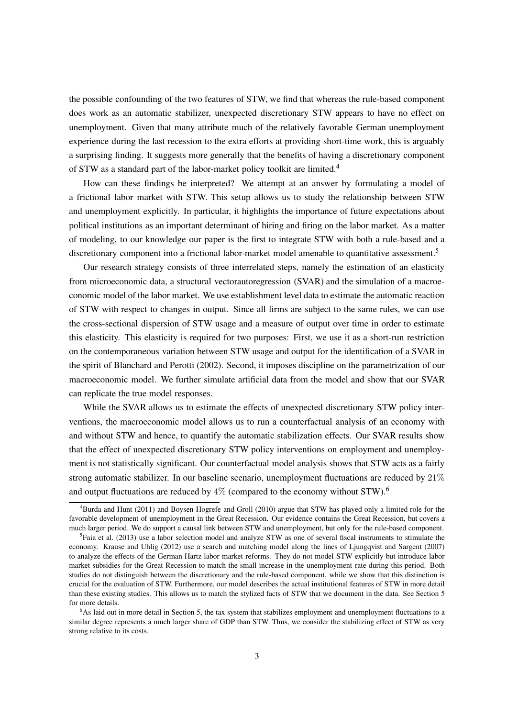the possible confounding of the two features of STW, we find that whereas the rule-based component does work as an automatic stabilizer, unexpected discretionary STW appears to have no effect on unemployment. Given that many attribute much of the relatively favorable German unemployment experience during the last recession to the extra efforts at providing short-time work, this is arguably a surprising finding. It suggests more generally that the benefits of having a discretionary component of STW as a standard part of the labor-market policy toolkit are limited.[4](#page-2-0)

How can these findings be interpreted? We attempt at an answer by formulating a model of a frictional labor market with STW. This setup allows us to study the relationship between STW and unemployment explicitly. In particular, it highlights the importance of future expectations about political institutions as an important determinant of hiring and firing on the labor market. As a matter of modeling, to our knowledge our paper is the first to integrate STW with both a rule-based and a discretionary component into a frictional labor-market model amenable to quantitative assessment.<sup>[5](#page-2-1)</sup>

Our research strategy consists of three interrelated steps, namely the estimation of an elasticity from microeconomic data, a structural vectorautoregression (SVAR) and the simulation of a macroeconomic model of the labor market. We use establishment level data to estimate the automatic reaction of STW with respect to changes in output. Since all firms are subject to the same rules, we can use the cross-sectional dispersion of STW usage and a measure of output over time in order to estimate this elasticity. This elasticity is required for two purposes: First, we use it as a short-run restriction on the contemporaneous variation between STW usage and output for the identification of a SVAR in the spirit of [Blanchard and Perotti \(2002](#page-37-4)). Second, it imposes discipline on the parametrization of our macroeconomic model. We further simulate artificial data from the model and show that our SVAR can replicate the true model responses.

While the SVAR allows us to estimate the effects of unexpected discretionary STW policy interventions, the macroeconomic model allows us to run a counterfactual analysis of an economy with and without STW and hence, to quantify the automatic stabilization effects. Our SVAR results show that the effect of unexpected discretionary STW policy interventions on employment and unemployment is not statistically significant. Our counterfactual model analysis shows that STW acts as a fairly strong automatic stabilizer. In our baseline scenario, unemployment fluctuations are reduced by 21% and output fluctuations are reduced by  $4\%$  (compared to the economy without STW).<sup>[6](#page-2-2)</sup>

<span id="page-2-0"></span><sup>4</sup>[Burda and Hunt \(2011\)](#page-38-3) and [Boysen-Hogrefe and Groll](#page-37-8) [\(2010](#page-37-8)) argue that STW has played only a limited role for the favorable development of unemployment in the Great Recession. Our evidence contains the Great Recession, but covers a much larger period. We do support a causal link between STW and unemployment, but only for the rule-based component.

<span id="page-2-1"></span> ${}^{5}$ [Faia et al. \(2013](#page-38-4)) use a labor selection model and analyze STW as one of several fiscal instruments to stimulate the economy. [Krause and Uhlig \(2012\)](#page-39-4) use a search and matching model along the lines of [Ljungqvist and Sargent \(2007\)](#page-39-5) to analyze the effects of the German Hartz labor market reforms. They do not model STW explicitly but introduce labor market subsidies for the Great Recession to match the small increase in the unemployment rate during this period. Both studies do not distinguish between the discretionary and the rule-based component, while we show that this distinction is crucial for the evaluation of STW. Furthermore, our model describes the actual institutional features of STW in more detail than these existing studies. This allows us to match the stylized facts of STW that we document in the data. See Section [5](#page-17-0) for more details.

<span id="page-2-2"></span> $6$ As laid out in more detail in Section [5,](#page-17-0) the tax system that stabilizes employment and unemployment fluctuations to a similar degree represents a much larger share of GDP than STW. Thus, we consider the stabilizing effect of STW as very strong relative to its costs.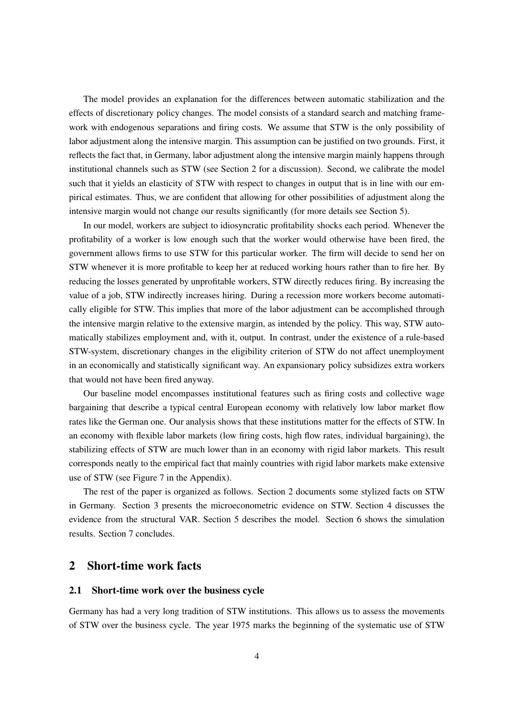The model provides an explanation for the differences between automatic stabilization and the effects of discretionary policy changes. The model consists of a standard search and matching framework with endogenous separations and firing costs. We assume that STW is the only possibility of labor adjustment along the intensive margin. This assumption can be justified on two grounds. First, it reflects the fact that, in Germany, labor adjustment along the intensive margin mainly happens through institutional channels such as STW (see Section [2](#page-3-0) for a discussion). Second, we calibrate the model such that it yields an elasticity of STW with respect to changes in output that is in line with our empirical estimates. Thus, we are confident that allowing for other possibilities of adjustment along the intensive margin would not change our results significantly (for more details see Section [5\)](#page-17-0).

In our model, workers are subject to idiosyncratic profitability shocks each period. Whenever the profitability of a worker is low enough such that the worker would otherwise have been fired, the government allows firms to use STW for this particular worker. The firm will decide to send her on STW whenever it is more profitable to keep her at reduced working hours rather than to fire her. By reducing the losses generated by unprofitable workers, STW directly reduces firing. By increasing the value of a job, STW indirectly increases hiring. During a recession more workers become automatically eligible for STW. This implies that more of the labor adjustment can be accomplished through the intensive margin relative to the extensive margin, as intended by the policy. This way, STW automatically stabilizes employment and, with it, output. In contrast, under the existence of a rule-based STW-system, discretionary changes in the eligibility criterion of STW do not affect unemployment in an economically and statistically significant way. An expansionary policy subsidizes extra workers that would not have been fired anyway.

Our baseline model encompasses institutional features such as firing costs and collective wage bargaining that describe a typical central European economy with relatively low labor market flow rates like the German one. Our analysis shows that these institutions matter for the effects of STW. In an economy with flexible labor markets (low firing costs, high flow rates, individual bargaining), the stabilizing effects of STW are much lower than in an economy with rigid labor markets. This result corresponds neatly to the empirical fact that mainly countries with rigid labor markets make extensive use of STW (see Figure [7](#page-43-0) in the Appendix).

The rest of the paper is organized as follows. Section [2](#page-3-0) documents some stylized facts on STW in Germany. Section [3](#page-7-0) presents the microeconometric evidence on STW. Section [4](#page-11-0) discusses the evidence from the structural VAR. Section [5](#page-17-0) describes the model. Section [6](#page-25-0) shows the simulation results. Section [7](#page-34-0) concludes.

### <span id="page-3-0"></span>2 Short-time work facts

#### 2.1 Short-time work over the business cycle

Germany has had a very long tradition of STW institutions. This allows us to assess the movements of STW over the business cycle. The year 1975 marks the beginning of the systematic use of STW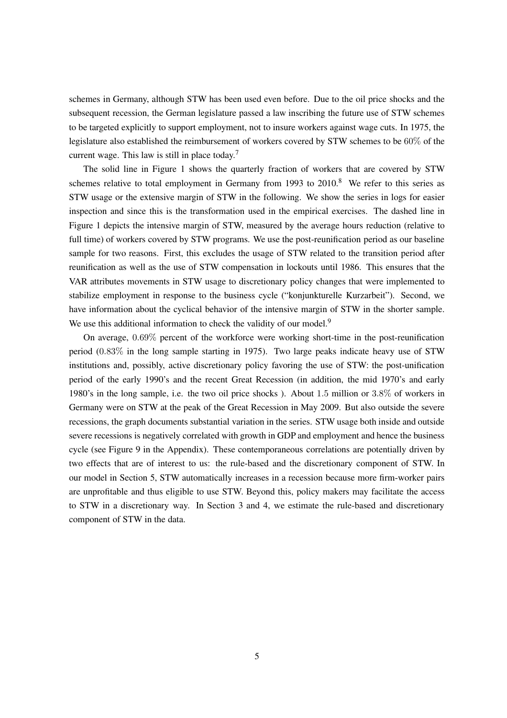schemes in Germany, although STW has been used even before. Due to the oil price shocks and the subsequent recession, the German legislature passed a law inscribing the future use of STW schemes to be targeted explicitly to support employment, not to insure workers against wage cuts. In 1975, the legislature also established the reimbursement of workers covered by STW schemes to be 60% of the current wage. This law is still in place today.[7](#page-6-0)

The solid line in Figure [1](#page-5-0) shows the quarterly fraction of workers that are covered by STW schemes relative to total employment in Germany from 1993 to  $2010$ .<sup>[8](#page-6-1)</sup> We refer to this series as STW usage or the extensive margin of STW in the following. We show the series in logs for easier inspection and since this is the transformation used in the empirical exercises. The dashed line in Figure [1](#page-5-0) depicts the intensive margin of STW, measured by the average hours reduction (relative to full time) of workers covered by STW programs. We use the post-reunification period as our baseline sample for two reasons. First, this excludes the usage of STW related to the transition period after reunification as well as the use of STW compensation in lockouts until 1986. This ensures that the VAR attributes movements in STW usage to discretionary policy changes that were implemented to stabilize employment in response to the business cycle ("konjunkturelle Kurzarbeit"). Second, we have information about the cyclical behavior of the intensive margin of STW in the shorter sample. We use this additional information to check the validity of our model.<sup>[9](#page-6-2)</sup>

On average, 0.69% percent of the workforce were working short-time in the post-reunification period (0.83% in the long sample starting in 1975). Two large peaks indicate heavy use of STW institutions and, possibly, active discretionary policy favoring the use of STW: the post-unification period of the early 1990's and the recent Great Recession (in addition, the mid 1970's and early 1980's in the long sample, i.e. the two oil price shocks ). About 1.5 million or 3.8% of workers in Germany were on STW at the peak of the Great Recession in May 2009. But also outside the severe recessions, the graph documents substantial variation in the series. STW usage both inside and outside severe recessions is negatively correlated with growth in GDP and employment and hence the business cycle (see Figure [9](#page-44-1) in the Appendix). These contemporaneous correlations are potentially driven by two effects that are of interest to us: the rule-based and the discretionary component of STW. In our model in Section [5,](#page-17-0) STW automatically increases in a recession because more firm-worker pairs are unprofitable and thus eligible to use STW. Beyond this, policy makers may facilitate the access to STW in a discretionary way. In Section [3](#page-7-0) and [4,](#page-11-0) we estimate the rule-based and discretionary component of STW in the data.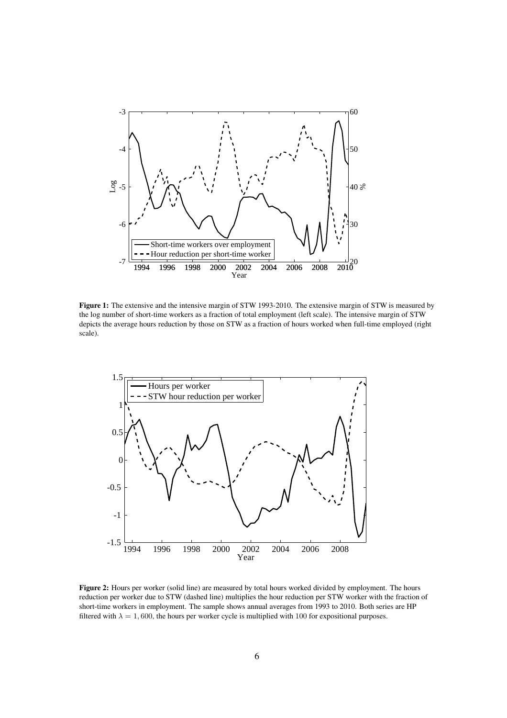<span id="page-5-0"></span>

Figure 1: The extensive and the intensive margin of STW 1993-2010. The extensive margin of STW is measured by the log number of short-time workers as a fraction of total employment (left scale). The intensive margin of STW depicts the average hours reduction by those on STW as a fraction of hours worked when full-time employed (right scale).

<span id="page-5-1"></span>

Figure 2: Hours per worker (solid line) are measured by total hours worked divided by employment. The hours reduction per worker due to STW (dashed line) multiplies the hour reduction per STW worker with the fraction of short-time workers in employment. The sample shows annual averages from 1993 to 2010. Both series are HP filtered with  $\lambda = 1,600$ , the hours per worker cycle is multiplied with 100 for expositional purposes.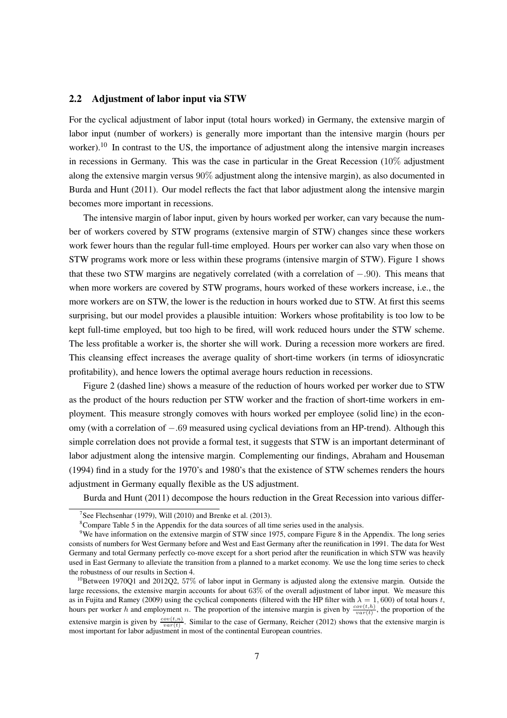#### 2.2 Adjustment of labor input via STW

For the cyclical adjustment of labor input (total hours worked) in Germany, the extensive margin of labor input (number of workers) is generally more important than the intensive margin (hours per worker).<sup>[10](#page-6-3)</sup> In contrast to the US, the importance of adjustment along the intensive margin increases in recessions in Germany. This was the case in particular in the Great Recession (10% adjustment along the extensive margin versus 90% adjustment along the intensive margin), as also documented in [Burda and Hunt](#page-38-3) [\(2011](#page-38-3)). Our model reflects the fact that labor adjustment along the intensive margin becomes more important in recessions.

The intensive margin of labor input, given by hours worked per worker, can vary because the number of workers covered by STW programs (extensive margin of STW) changes since these workers work fewer hours than the regular full-time employed. Hours per worker can also vary when those on STW programs work more or less within these programs (intensive margin of STW). Figure [1](#page-5-0) shows that these two STW margins are negatively correlated (with a correlation of −.90). This means that when more workers are covered by STW programs, hours worked of these workers increase, i.e., the more workers are on STW, the lower is the reduction in hours worked due to STW. At first this seems surprising, but our model provides a plausible intuition: Workers whose profitability is too low to be kept full-time employed, but too high to be fired, will work reduced hours under the STW scheme. The less profitable a worker is, the shorter she will work. During a recession more workers are fired. This cleansing effect increases the average quality of short-time workers (in terms of idiosyncratic profitability), and hence lowers the optimal average hours reduction in recessions.

Figure [2](#page-5-1) (dashed line) shows a measure of the reduction of hours worked per worker due to STW as the product of the hours reduction per STW worker and the fraction of short-time workers in employment. This measure strongly comoves with hours worked per employee (solid line) in the economy (with a correlation of −.69 measured using cyclical deviations from an HP-trend). Although this simple correlation does not provide a formal test, it suggests that STW is an important determinant of labor adjustment along the intensive margin. Complementing our findings, [Abraham and Houseman](#page-37-9) [\(1994](#page-37-9)) find in a study for the 1970's and 1980's that the existence of STW schemes renders the hours [adjustment in Germ](#page-38-3)any equally flexible as the US adjustment.

Burda and Hunt [\(2011](#page-38-3)) decompose the hours reduction in the Great Recession into various differ-

<sup>&</sup>lt;sup>7</sup>See [Flechsenhar \(1979\)](#page-38-5), [Will \(2010\)](#page-40-1) and [Brenke et al. \(2013\)](#page-37-7).

<span id="page-6-1"></span><span id="page-6-0"></span><sup>8</sup>Compare Table [5](#page-41-0) in the Appendix for the data sources of all time series used in the analysis.

<span id="page-6-2"></span><sup>9</sup>We have information on the extensive margin of STW since 1975, compare Figure [8](#page-44-0) in the Appendix. The long series consists of numbers for West Germany before and West and East Germany after the reunification in 1991. The data for West Germany and total Germany perfectly co-move except for a short period after the reunification in which STW was heavily used in East Germany to alleviate the transition from a planned to a market economy. We use the long time series to check the robustness of our results in Section [4.](#page-11-0)

<span id="page-6-3"></span> $10B$ Between 1970Q1 and 2012Q2, 57% of labor input in Germany is adjusted along the extensive margin. Outside the large recessions, the extensive margin accounts for about 63% of the overall adjustment of labor input. We measure this as in [Fujita and Ramey \(2009\)](#page-38-6) using the cyclical components (filtered with the HP filter with  $\lambda = 1,600$ ) of total hours t, hours per worker h and employment n. The proportion of the intensive margin is given by  $\frac{cov(t, h)}{var(t)}$ , the proportion of the extensive margin is given by  $\frac{cov(t,n)}{var(t)}$ . Similar to the case of Germany, [Reicher \(2012\)](#page-40-2) shows that the extensive margin is most important for labor adjustment in most of the continental European countries.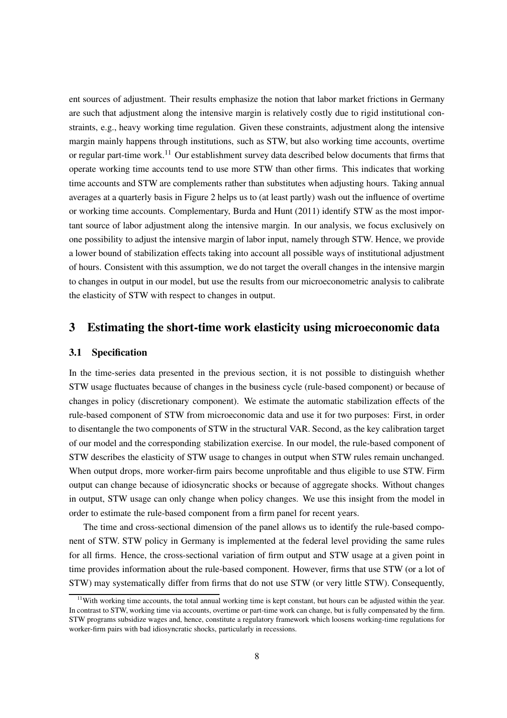ent sources of adjustment. Their results emphasize the notion that labor market frictions in Germany are such that adjustment along the intensive margin is relatively costly due to rigid institutional constraints, e.g., heavy working time regulation. Given these constraints, adjustment along the intensive margin mainly happens through institutions, such as STW, but also working time accounts, overtime or regular part-time work.<sup>[11](#page-7-1)</sup> Our establishment survey data described below documents that firms that operate working time accounts tend to use more STW than other firms. This indicates that working time accounts and STW are complements rather than substitutes when adjusting hours. Taking annual averages at a quarterly basis in Figure [2](#page-5-1) helps us to (at least partly) wash out the influence of overtime or working time accounts. Complementary, [Burda and Hunt](#page-38-3) [\(2011](#page-38-3)) identify STW as the most important source of labor adjustment along the intensive margin. In our analysis, we focus exclusively on one possibility to adjust the intensive margin of labor input, namely through STW. Hence, we provide a lower bound of stabilization effects taking into account all possible ways of institutional adjustment of hours. Consistent with this assumption, we do not target the overall changes in the intensive margin to changes in output in our model, but use the results from our microeconometric analysis to calibrate the elasticity of STW with respect to changes in output.

### <span id="page-7-0"></span>3 Estimating the short-time work elasticity using microeconomic data

#### 3.1 Specification

In the time-series data presented in the previous section, it is not possible to distinguish whether STW usage fluctuates because of changes in the business cycle (rule-based component) or because of changes in policy (discretionary component). We estimate the automatic stabilization effects of the rule-based component of STW from microeconomic data and use it for two purposes: First, in order to disentangle the two components of STW in the structural VAR. Second, as the key calibration target of our model and the corresponding stabilization exercise. In our model, the rule-based component of STW describes the elasticity of STW usage to changes in output when STW rules remain unchanged. When output drops, more worker-firm pairs become unprofitable and thus eligible to use STW. Firm output can change because of idiosyncratic shocks or because of aggregate shocks. Without changes in output, STW usage can only change when policy changes. We use this insight from the model in order to estimate the rule-based component from a firm panel for recent years.

The time and cross-sectional dimension of the panel allows us to identify the rule-based component of STW. STW policy in Germany is implemented at the federal level providing the same rules for all firms. Hence, the cross-sectional variation of firm output and STW usage at a given point in time provides information about the rule-based component. However, firms that use STW (or a lot of STW) may systematically differ from firms that do not use STW (or very little STW). Consequently,

<span id="page-7-1"></span> $11$ With working time accounts, the total annual working time is kept constant, but hours can be adjusted within the year. In contrast to STW, working time via accounts, overtime or part-time work can change, but is fully compensated by the firm. STW programs subsidize wages and, hence, constitute a regulatory framework which loosens working-time regulations for worker-firm pairs with bad idiosyncratic shocks, particularly in recessions.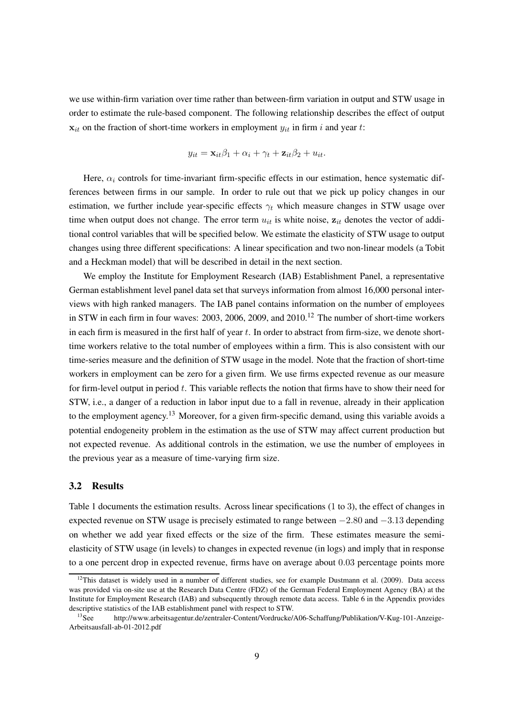we use within-firm variation over time rather than between-firm variation in output and STW usage in order to estimate the rule-based component. The following relationship describes the effect of output  $x_{it}$  on the fraction of short-time workers in employment  $y_{it}$  in firm i and year t:

$$
y_{it} = \mathbf{x}_{it} \beta_1 + \alpha_i + \gamma_t + \mathbf{z}_{it} \beta_2 + u_{it}.
$$

Here,  $\alpha_i$  controls for time-invariant firm-specific effects in our estimation, hence systematic differences between firms in our sample. In order to rule out that we pick up policy changes in our estimation, we further include year-specific effects  $\gamma_t$  which measure changes in STW usage over time when output does not change. The error term  $u_{it}$  is white noise,  $z_{it}$  denotes the vector of additional control variables that will be specified below. We estimate the elasticity of STW usage to output changes using three different specifications: A linear specification and two non-linear models (a Tobit and a Heckman model) that will be described in detail in the next section.

We employ the Institute for Employment Research (IAB) Establishment Panel, a representative German establishment level panel data set that surveys information from almost 16,000 personal interviews with high ranked managers. The IAB panel contains information on the number of employees in STW in each firm in four waves: 2003, 2006, 2009, and 2010.<sup>[12](#page-8-0)</sup> The number of short-time workers in each firm is measured in the first half of year  $t$ . In order to abstract from firm-size, we denote shorttime workers relative to the total number of employees within a firm. This is also consistent with our time-series measure and the definition of STW usage in the model. Note that the fraction of short-time workers in employment can be zero for a given firm. We use firms expected revenue as our measure for firm-level output in period t. This variable reflects the notion that firms have to show their need for STW, i.e., a danger of a reduction in labor input due to a fall in revenue, already in their application to the employment agency.<sup>[13](#page-8-1)</sup> Moreover, for a given firm-specific demand, using this variable avoids a potential endogeneity problem in the estimation as the use of STW may affect current production but not expected revenue. As additional controls in the estimation, we use the number of employees in the previous year as a measure of time-varying firm size.

#### 3.2 Results

Table [1](#page-9-0) documents the estimation results. Across linear specifications (1 to 3), the effect of changes in expected revenue on STW usage is precisely estimated to range between −2.80 and −3.13 depending on whether we add year fixed effects or the size of the firm. These estimates measure the semielasticity of STW usage (in levels) to changes in expected revenue (in logs) and imply that in response to a one percent drop in expected revenue, firms have on average about 0.03 percentage points more

<span id="page-8-0"></span> $12$ This dataset is widely used in a number of different studies, see for example [Dustmann et al. \(2009\)](#page-38-7). Data access was provided via on-site use at the Research Data Centre (FDZ) of the German Federal Employment Agency (BA) at the Institute for Employment Research (IAB) and subsequently through remote data access. Table [6](#page-41-1) in the Appendix provides descriptive statistics of the IAB establishment panel with respect to STW.

<span id="page-8-1"></span><sup>&</sup>lt;sup>13</sup>See http://www.arbeitsagentur.de/zentraler-Content/Vordrucke/A06-Schaffung/Publikation/V-Kug-101-Anzeige-Arbeitsausfall-ab-01-2012.pdf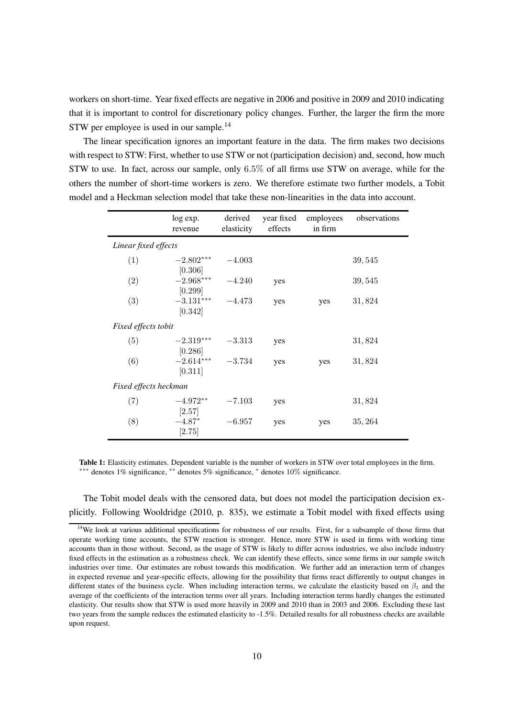workers on short-time. Year fixed effects are negative in 2006 and positive in 2009 and 2010 indicating that it is important to control for discretionary policy changes. Further, the larger the firm the more STW per employee is used in our sample.<sup>[14](#page-9-1)</sup>

The linear specification ignores an important feature in the data. The firm makes two decisions with respect to STW: First, whether to use STW or not (participation decision) and, second, how much STW to use. In fact, across our sample, only 6.5% of all firms use STW on average, while for the others the number of short-time workers is zero. We therefore estimate two further models, a Tobit model and a Heckman selection model that take these non-linearities in the data into account.

<span id="page-9-0"></span>

|                       | log exp.<br>revenue               | derived<br>elasticity | year fixed<br>effects | employees<br>in firm | observations |
|-----------------------|-----------------------------------|-----------------------|-----------------------|----------------------|--------------|
| Linear fixed effects  |                                   |                       |                       |                      |              |
| (1)                   | $-2.802***$                       | $-4.003$              |                       |                      | 39,545       |
| (2)                   | [0.306]<br>$-2.968***$            | $-4.240$              | yes                   |                      | 39,545       |
| (3)                   | [0.299]<br>$-3.131***$<br>[0.342] | $-4.473$              | yes                   | yes                  | 31,824       |
| Fixed effects tobit   |                                   |                       |                       |                      |              |
| (5)                   | $-2.319***$                       | $-3.313$              | yes                   |                      | 31,824       |
| (6)                   | [0.286]<br>$-2.614***$<br>[0.311] | $-3.734$              | yes                   | yes                  | 31,824       |
| Fixed effects heckman |                                   |                       |                       |                      |              |
| (7)                   | $-4.972**$                        | $-7.103$              | yes                   |                      | 31,824       |
| (8)                   | [2.57]<br>$-4.87*$<br>[2.75]      | $-6.957$              | yes                   | yes                  | 35, 264      |

Table 1: Elasticity estimates. Dependent variable is the number of workers in STW over total employees in the firm. ∗∗∗ denotes 1% significance, ∗∗ denotes 5% significance, <sup>∗</sup> denotes 10% significance.

The Tobit model deals with the censored data, but does not model the participation decision explicitly. Following [Wooldridge \(2010](#page-40-3), p. 835), we estimate a Tobit model with fixed effects using

<span id="page-9-1"></span><sup>&</sup>lt;sup>14</sup>We look at various additional specifications for robustness of our results. First, for a subsample of those firms that operate working time accounts, the STW reaction is stronger. Hence, more STW is used in firms with working time accounts than in those without. Second, as the usage of STW is likely to differ across industries, we also include industry fixed effects in the estimation as a robustness check. We can identify these effects, since some firms in our sample switch industries over time. Our estimates are robust towards this modification. We further add an interaction term of changes in expected revenue and year-specific effects, allowing for the possibility that firms react differently to output changes in different states of the business cycle. When including interaction terms, we calculate the elasticity based on  $\beta_1$  and the average of the coefficients of the interaction terms over all years. Including interaction terms hardly changes the estimated elasticity. Our results show that STW is used more heavily in 2009 and 2010 than in 2003 and 2006. Excluding these last two years from the sample reduces the estimated elasticity to -1.5%. Detailed results for all robustness checks are available upon request.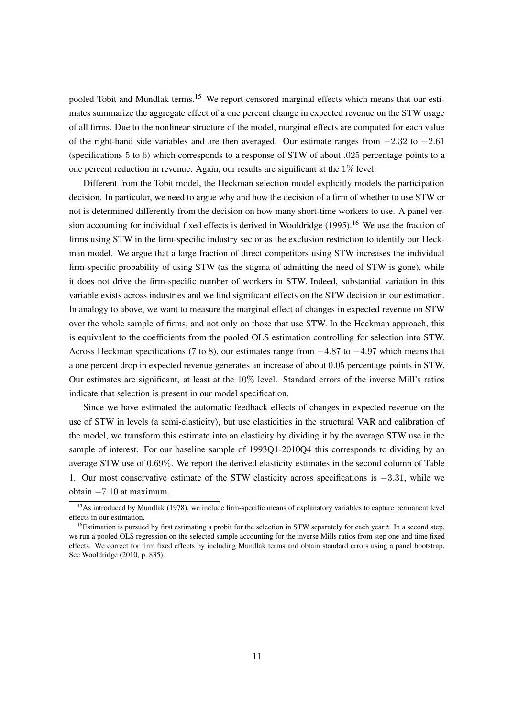pooled Tobit and Mundlak terms.<sup>[15](#page-10-0)</sup> We report censored marginal effects which means that our estimates summarize the aggregate effect of a one percent change in expected revenue on the STW usage of all firms. Due to the nonlinear structure of the model, marginal effects are computed for each value of the right-hand side variables and are then averaged. Our estimate ranges from  $-2.32$  to  $-2.61$ (specifications 5 to 6) which corresponds to a response of STW of about .025 percentage points to a one percent reduction in revenue. Again, our results are significant at the 1% level.

Different from the Tobit model, the Heckman selection model explicitly models the participation decision. In particular, we need to argue why and how the decision of a firm of whether to use STW or not is determined differently from the decision on how many short-time workers to use. A panel version accounting for individual fixed effects is derived in Wooldridge  $(1995)$ .<sup>[16](#page-10-1)</sup> We use the fraction of firms using STW in the firm-specific industry sector as the exclusion restriction to identify our Heckman model. We argue that a large fraction of direct competitors using STW increases the individual firm-specific probability of using STW (as the stigma of admitting the need of STW is gone), while it does not drive the firm-specific number of workers in STW. Indeed, substantial variation in this variable exists across industries and we find significant effects on the STW decision in our estimation. In analogy to above, we want to measure the marginal effect of changes in expected revenue on STW over the whole sample of firms, and not only on those that use STW. In the Heckman approach, this is equivalent to the coefficients from the pooled OLS estimation controlling for selection into STW. Across Heckman specifications (7 to 8), our estimates range from  $-4.87$  to  $-4.97$  which means that a one percent drop in expected revenue generates an increase of about 0.05 percentage points in STW. Our estimates are significant, at least at the 10% level. Standard errors of the inverse Mill's ratios indicate that selection is present in our model specification.

Since we have estimated the automatic feedback effects of changes in expected revenue on the use of STW in levels (a semi-elasticity), but use elasticities in the structural VAR and calibration of the model, we transform this estimate into an elasticity by dividing it by the average STW use in the sample of interest. For our baseline sample of 1993Q1-2010Q4 this corresponds to dividing by an average STW use of 0.69%. We report the derived elasticity estimates in the second column of Table [1.](#page-9-0) Our most conservative estimate of the STW elasticity across specifications is −3.31, while we obtain −7.10 at maximum.

<span id="page-10-0"></span><sup>&</sup>lt;sup>15</sup>As introduced by [Mundlak \(1978\)](#page-39-6), we include firm-specific means of explanatory variables to capture permanent level effects in our estimation.

<span id="page-10-1"></span><sup>&</sup>lt;sup>16</sup>Estimation is pursued by first estimating a probit for the selection in STW separately for each year  $t$ . In a second step, we run a pooled OLS regression on the selected sample accounting for the inverse Mills ratios from step one and time fixed effects. We correct for firm fixed effects by including Mundlak terms and obtain standard errors using a panel bootstrap. See [Wooldridge](#page-40-3) [\(2010](#page-40-3), p. 835).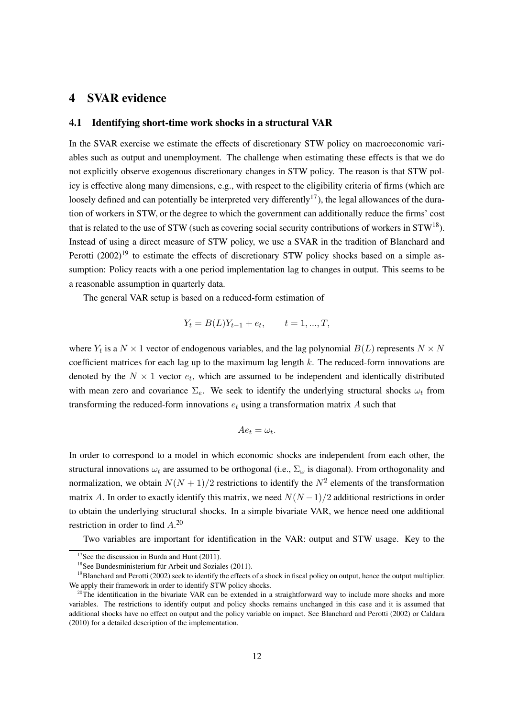### <span id="page-11-0"></span>4 SVAR evidence

#### 4.1 Identifying short-time work shocks in a structural VAR

In the SVAR exercise we estimate the effects of discretionary STW policy on macroeconomic variables such as output and unemployment. The challenge when estimating these effects is that we do not explicitly observe exogenous discretionary changes in STW policy. The reason is that STW policy is effective along many dimensions, e.g., with respect to the eligibility criteria of firms (which are loosely defined and can potentially be interpreted very differently<sup>[17](#page-11-1)</sup>), the legal allowances of the duration of workers in STW, or the degree to which the government can additionally reduce the firms' cost that is related to the use of STW (such as covering social security contributions of workers in  $STW^{18}$  $STW^{18}$  $STW^{18}$ ). Instea[d of using a direct measure of STW policy, we use a SVAR in the tradition of](#page-37-4) Blanchard and Perotti [\(2002](#page-37-4))<sup>[19](#page-11-3)</sup> to estimate the effects of discretionary STW policy shocks based on a simple assumption: Policy reacts with a one period implementation lag to changes in output. This seems to be a reasonable assumption in quarterly data.

The general VAR setup is based on a reduced-form estimation of

$$
Y_t = B(L)Y_{t-1} + e_t, \qquad t = 1, ..., T,
$$

where  $Y_t$  is a  $N \times 1$  vector of endogenous variables, and the lag polynomial  $B(L)$  represents  $N \times N$ coefficient matrices for each lag up to the maximum lag length  $k$ . The reduced-form innovations are denoted by the  $N \times 1$  vector  $e_t$ , which are assumed to be independent and identically distributed with mean zero and covariance  $\Sigma_e$ . We seek to identify the underlying structural shocks  $\omega_t$  from transforming the reduced-form innovations  $e_t$  using a transformation matrix A such that

$$
Ae_t = \omega_t.
$$

In order to correspond to a model in which economic shocks are independent from each other, the structural innovations  $\omega_t$  are assumed to be orthogonal (i.e.,  $\Sigma_\omega$  is diagonal). From orthogonality and normalization, we obtain  $N(N + 1)/2$  restrictions to identify the  $N^2$  elements of the transformation matrix A. In order to exactly identify this matrix, we need  $N(N-1)/2$  additional restrictions in order to obtain the underlying structural shocks. In a simple bivariate VAR, we hence need one additional restriction in order to find  $A^{20}$  $A^{20}$  $A^{20}$ 

Two variables are important for identification in the VAR: output and STW usage. Key to the

 $17$ See the discussion in [Burda and Hunt \(2011\)](#page-38-3).

<span id="page-11-2"></span><span id="page-11-1"></span><sup>18</sup>See [Bundesministerium für Arbeit und Soziales \(2011](#page-37-10)).

<span id="page-11-3"></span><sup>&</sup>lt;sup>19</sup>[Blanchard and Perotti \(2002\)](#page-37-4) seek to identify the effects of a shock in fiscal policy on output, hence the output multiplier. We apply their framework in order to identify STW policy shocks.

<span id="page-11-4"></span> $^{20}$ The identification in the bivariate VAR can be extended in a straightforward way to include more shocks and more variables. The restrictions to identify output and policy shocks remains unchanged in this case and it is assumed that additional shocks have no effect on output and the policy variable on impact. See [Blanchard and Perotti \(2002\)](#page-37-4) or [Caldara](#page-38-8) [\(2010\)](#page-38-8) for a detailed description of the implementation.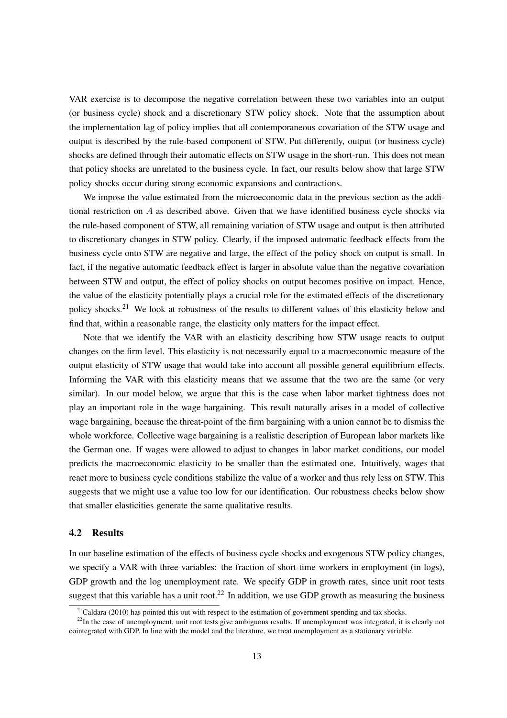VAR exercise is to decompose the negative correlation between these two variables into an output (or business cycle) shock and a discretionary STW policy shock. Note that the assumption about the implementation lag of policy implies that all contemporaneous covariation of the STW usage and output is described by the rule-based component of STW. Put differently, output (or business cycle) shocks are defined through their automatic effects on STW usage in the short-run. This does not mean that policy shocks are unrelated to the business cycle. In fact, our results below show that large STW policy shocks occur during strong economic expansions and contractions.

We impose the value estimated from the microeconomic data in the previous section as the additional restriction on A as described above. Given that we have identified business cycle shocks via the rule-based component of STW, all remaining variation of STW usage and output is then attributed to discretionary changes in STW policy. Clearly, if the imposed automatic feedback effects from the business cycle onto STW are negative and large, the effect of the policy shock on output is small. In fact, if the negative automatic feedback effect is larger in absolute value than the negative covariation between STW and output, the effect of policy shocks on output becomes positive on impact. Hence, the value of the elasticity potentially plays a crucial role for the estimated effects of the discretionary policy shocks.<sup>[21](#page-12-0)</sup> We look at robustness of the results to different values of this elasticity below and find that, within a reasonable range, the elasticity only matters for the impact effect.

Note that we identify the VAR with an elasticity describing how STW usage reacts to output changes on the firm level. This elasticity is not necessarily equal to a macroeconomic measure of the output elasticity of STW usage that would take into account all possible general equilibrium effects. Informing the VAR with this elasticity means that we assume that the two are the same (or very similar). In our model below, we argue that this is the case when labor market tightness does not play an important role in the wage bargaining. This result naturally arises in a model of collective wage bargaining, because the threat-point of the firm bargaining with a union cannot be to dismiss the whole workforce. Collective wage bargaining is a realistic description of European labor markets like the German one. If wages were allowed to adjust to changes in labor market conditions, our model predicts the macroeconomic elasticity to be smaller than the estimated one. Intuitively, wages that react more to business cycle conditions stabilize the value of a worker and thus rely less on STW. This suggests that we might use a value too low for our identification. Our robustness checks below show that smaller elasticities generate the same qualitative results.

#### 4.2 Results

In our baseline estimation of the effects of business cycle shocks and exogenous STW policy changes, we specify a VAR with three variables: the fraction of short-time workers in employment (in logs), GDP growth and the log unemployment rate. We specify GDP in growth rates, since unit root tests suggest that this variable has a unit root.<sup>[22](#page-12-1)</sup> In addition, we use GDP growth as measuring the business

<span id="page-12-0"></span><sup>&</sup>lt;sup>21</sup>[Caldara \(2010](#page-38-8)) has pointed this out with respect to the estimation of government spending and tax shocks.

<span id="page-12-1"></span><sup>&</sup>lt;sup>22</sup>In the case of unemployment, unit root tests give ambiguous results. If unemployment was integrated, it is clearly not cointegrated with GDP. In line with the model and the literature, we treat unemployment as a stationary variable.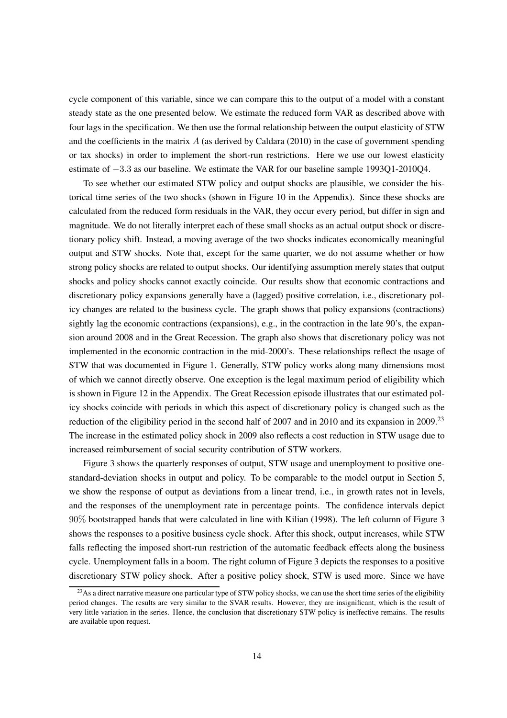cycle component of this variable, since we can compare this to the output of a model with a constant steady state as the one presented below. We estimate the reduced form VAR as described above with four lags in the specification. We then use the formal relationship between the output elasticity of STW and the coefficients in the matrix  $A$  (as derived by [Caldara \(2010\)](#page-38-8) in the case of government spending or tax shocks) in order to implement the short-run restrictions. Here we use our lowest elasticity estimate of −3.3 as our baseline. We estimate the VAR for our baseline sample 1993Q1-2010Q4.

To see whether our estimated STW policy and output shocks are plausible, we consider the historical time series of the two shocks (shown in Figure [10](#page-45-0) in the Appendix). Since these shocks are calculated from the reduced form residuals in the VAR, they occur every period, but differ in sign and magnitude. We do not literally interpret each of these small shocks as an actual output shock or discretionary policy shift. Instead, a moving average of the two shocks indicates economically meaningful output and STW shocks. Note that, except for the same quarter, we do not assume whether or how strong policy shocks are related to output shocks. Our identifying assumption merely states that output shocks and policy shocks cannot exactly coincide. Our results show that economic contractions and discretionary policy expansions generally have a (lagged) positive correlation, i.e., discretionary policy changes are related to the business cycle. The graph shows that policy expansions (contractions) sightly lag the economic contractions (expansions), e.g., in the contraction in the late 90's, the expansion around 2008 and in the Great Recession. The graph also shows that discretionary policy was not implemented in the economic contraction in the mid-2000's. These relationships reflect the usage of STW that was documented in Figure [1.](#page-5-0) Generally, STW policy works along many dimensions most of which we cannot directly observe. One exception is the legal maximum period of eligibility which is shown in Figure [12](#page-47-0) in the Appendix. The Great Recession episode illustrates that our estimated policy shocks coincide with periods in which this aspect of discretionary policy is changed such as the reduction of the eligibility period in the second half of 2007 and in 2010 and its expansion in 2009.<sup>[23](#page-13-0)</sup> The increase in the estimated policy shock in 2009 also reflects a cost reduction in STW usage due to increased reimbursement of social security contribution of STW workers.

Figure [3](#page-14-0) shows the quarterly responses of output, STW usage and unemployment to positive onestandard-deviation shocks in output and policy. To be comparable to the model output in Section [5,](#page-17-0) we show the response of output as deviations from a linear trend, i.e., in growth rates not in levels, and the responses of the unemployment rate in percentage points. The confidence intervals depict 90% bootstrapped bands that were calculated in line with [Kilian](#page-39-7) [\(1998](#page-39-7)). The left column of Figure [3](#page-14-0) shows the responses to a positive business cycle shock. After this shock, output increases, while STW falls reflecting the imposed short-run restriction of the automatic feedback effects along the business cycle. Unemployment falls in a boom. The right column of Figure [3](#page-14-0) depicts the responses to a positive discretionary STW policy shock. After a positive policy shock, STW is used more. Since we have

<span id="page-13-0"></span> $^{23}$ As a direct narrative measure one particular type of STW policy shocks, we can use the short time series of the eligibility period changes. The results are very similar to the SVAR results. However, they are insignificant, which is the result of very little variation in the series. Hence, the conclusion that discretionary STW policy is ineffective remains. The results are available upon request.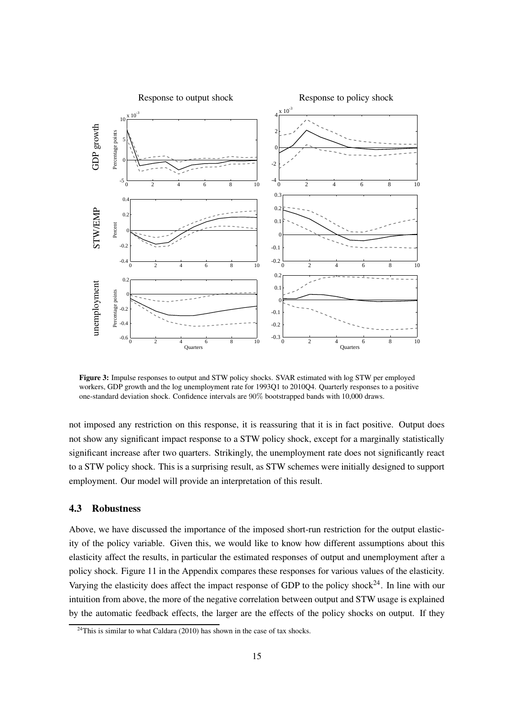<span id="page-14-0"></span>

Figure 3: Impulse responses to output and STW policy shocks. SVAR estimated with log STW per employed workers, GDP growth and the log unemployment rate for 1993Q1 to 2010Q4. Quarterly responses to a positive one-standard deviation shock. Confidence intervals are 90% bootstrapped bands with 10,000 draws.

not imposed any restriction on this response, it is reassuring that it is in fact positive. Output does not show any significant impact response to a STW policy shock, except for a marginally statistically significant increase after two quarters. Strikingly, the unemployment rate does not significantly react to a STW policy shock. This is a surprising result, as STW schemes were initially designed to support employment. Our model will provide an interpretation of this result.

### 4.3 Robustness

Above, we have discussed the importance of the imposed short-run restriction for the output elasticity of the policy variable. Given this, we would like to know how different assumptions about this elasticity affect the results, in particular the estimated responses of output and unemployment after a policy shock. Figure [11](#page-46-0) in the Appendix compares these responses for various values of the elasticity. Varying the elasticity does affect the impact response of GDP to the policy shock<sup>[24](#page-14-1)</sup>. In line with our intuition from above, the more of the negative correlation between output and STW usage is explained by the automatic feedback effects, the larger are the effects of the policy shocks on output. If they

<span id="page-14-1"></span> $24$ This is similar to what [Caldara \(2010\)](#page-38-8) has shown in the case of tax shocks.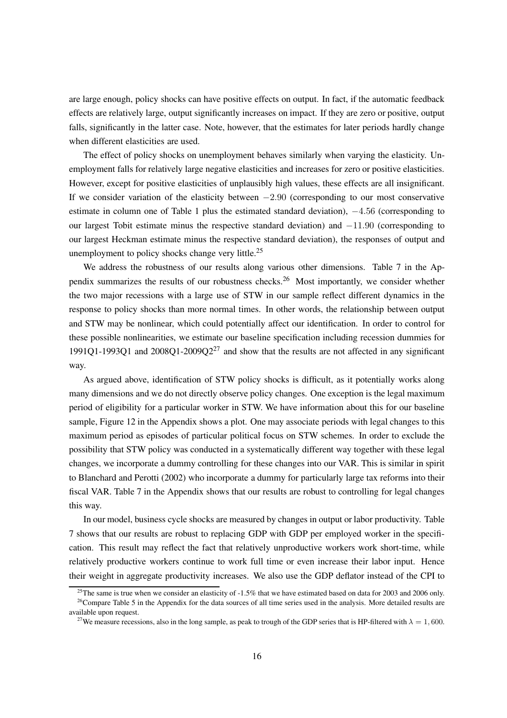are large enough, policy shocks can have positive effects on output. In fact, if the automatic feedback effects are relatively large, output significantly increases on impact. If they are zero or positive, output falls, significantly in the latter case. Note, however, that the estimates for later periods hardly change when different elasticities are used.

The effect of policy shocks on unemployment behaves similarly when varying the elasticity. Unemployment falls for relatively large negative elasticities and increases for zero or positive elasticities. However, except for positive elasticities of unplausibly high values, these effects are all insignificant. If we consider variation of the elasticity between  $-2.90$  (corresponding to our most conservative estimate in column one of Table [1](#page-9-0) plus the estimated standard deviation), −4.56 (corresponding to our largest Tobit estimate minus the respective standard deviation) and −11.90 (corresponding to our largest Heckman estimate minus the respective standard deviation), the responses of output and unemployment to policy shocks change very little.<sup>[25](#page-15-0)</sup>

We address the robustness of our results along various other dimensions. Table [7](#page-42-0) in the Ap-pendix summarizes the results of our robustness checks.<sup>[26](#page-15-1)</sup> Most importantly, we consider whether the two major recessions with a large use of STW in our sample reflect different dynamics in the response to policy shocks than more normal times. In other words, the relationship between output and STW may be nonlinear, which could potentially affect our identification. In order to control for these possible nonlinearities, we estimate our baseline specification including recession dummies for 1991Q1-1993Q1 and  $2008Q1-2009Q2^{27}$  $2008Q1-2009Q2^{27}$  $2008Q1-2009Q2^{27}$  and show that the results are not affected in any significant way.

As argued above, identification of STW policy shocks is difficult, as it potentially works along many dimensions and we do not directly observe policy changes. One exception is the legal maximum period of eligibility for a particular worker in STW. We have information about this for our baseline sample, Figure [12](#page-47-0) in the Appendix shows a plot. One may associate periods with legal changes to this maximum period as episodes of particular political focus on STW schemes. In order to exclude the possibility that STW policy was conducted in a systematically different way together with these legal changes, we incorporate a dummy controlling for these changes into our VAR. This is similar in spirit to [Blanchard and Perotti \(2002\)](#page-37-4) who incorporate a dummy for particularly large tax reforms into their fiscal VAR. Table [7](#page-42-0) in the Appendix shows that our results are robust to controlling for legal changes this way.

In our model, business cycle shocks are measured by changes in output or labor productivity. Table [7](#page-42-0) shows that our results are robust to replacing GDP with GDP per employed worker in the specification. This result may reflect the fact that relatively unproductive workers work short-time, while relatively productive workers continue to work full time or even increase their labor input. Hence their weight in aggregate productivity increases. We also use the GDP deflator instead of the CPI to

<span id="page-15-0"></span><sup>&</sup>lt;sup>25</sup>The same is true when we consider an elasticity of  $-1.5\%$  that we have estimated based on data for 2003 and 2006 only. <sup>26</sup>Compare Table [5](#page-41-0) in the Appendix for the data sources of all time series used in the analysis. More detailed results are available upon request.

<span id="page-15-2"></span><span id="page-15-1"></span><sup>&</sup>lt;sup>27</sup>We measure recessions, also in the long sample, as peak to trough of the GDP series that is HP-filtered with  $\lambda = 1,600$ .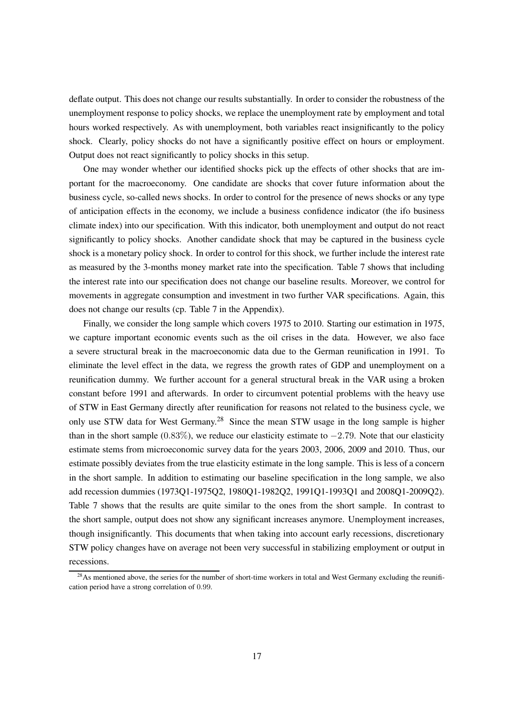deflate output. This does not change our results substantially. In order to consider the robustness of the unemployment response to policy shocks, we replace the unemployment rate by employment and total hours worked respectively. As with unemployment, both variables react insignificantly to the policy shock. Clearly, policy shocks do not have a significantly positive effect on hours or employment. Output does not react significantly to policy shocks in this setup.

One may wonder whether our identified shocks pick up the effects of other shocks that are important for the macroeconomy. One candidate are shocks that cover future information about the business cycle, so-called news shocks. In order to control for the presence of news shocks or any type of anticipation effects in the economy, we include a business confidence indicator (the ifo business climate index) into our specification. With this indicator, both unemployment and output do not react significantly to policy shocks. Another candidate shock that may be captured in the business cycle shock is a monetary policy shock. In order to control for this shock, we further include the interest rate as measured by the 3-months money market rate into the specification. Table [7](#page-42-0) shows that including the interest rate into our specification does not change our baseline results. Moreover, we control for movements in aggregate consumption and investment in two further VAR specifications. Again, this does not change our results (cp. Table [7](#page-42-0) in the Appendix).

Finally, we consider the long sample which covers 1975 to 2010. Starting our estimation in 1975, we capture important economic events such as the oil crises in the data. However, we also face a severe structural break in the macroeconomic data due to the German reunification in 1991. To eliminate the level effect in the data, we regress the growth rates of GDP and unemployment on a reunification dummy. We further account for a general structural break in the VAR using a broken constant before 1991 and afterwards. In order to circumvent potential problems with the heavy use of STW in East Germany directly after reunification for reasons not related to the business cycle, we only use STW data for West Germany.<sup>[28](#page-16-0)</sup> Since the mean STW usage in the long sample is higher than in the short sample  $(0.83\%)$ , we reduce our elasticity estimate to  $-2.79$ . Note that our elasticity estimate stems from microeconomic survey data for the years 2003, 2006, 2009 and 2010. Thus, our estimate possibly deviates from the true elasticity estimate in the long sample. This is less of a concern in the short sample. In addition to estimating our baseline specification in the long sample, we also add recession dummies (1973Q1-1975Q2, 1980Q1-1982Q2, 1991Q1-1993Q1 and 2008Q1-2009Q2). Table [7](#page-42-0) shows that the results are quite similar to the ones from the short sample. In contrast to the short sample, output does not show any significant increases anymore. Unemployment increases, though insignificantly. This documents that when taking into account early recessions, discretionary STW policy changes have on average not been very successful in stabilizing employment or output in recessions.

<span id="page-16-0"></span> $^{28}$ As mentioned above, the series for the number of short-time workers in total and West Germany excluding the reunification period have a strong correlation of 0.99.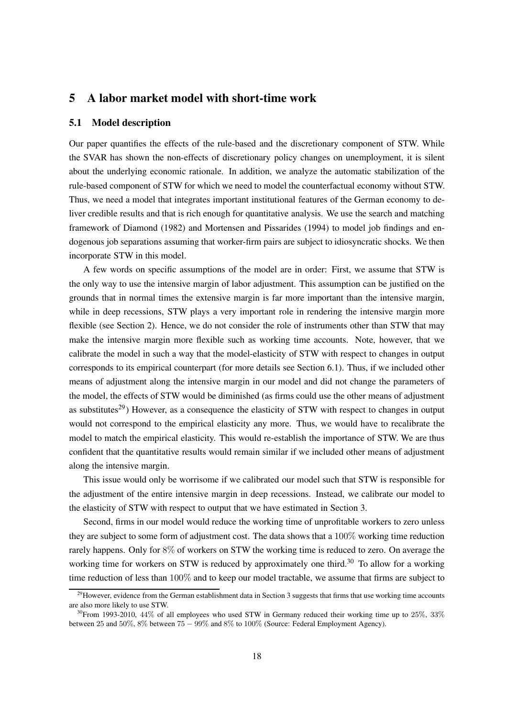### <span id="page-17-0"></span>5 A labor market model with short-time work

#### 5.1 Model description

Our paper quantifies the effects of the rule-based and the discretionary component of STW. While the SVAR has shown the non-effects of discretionary policy changes on unemployment, it is silent about the underlying economic rationale. In addition, we analyze the automatic stabilization of the rule-based component of STW for which we need to model the counterfactual economy without STW. Thus, we need a model that integrates important institutional features of the German economy to deliver credible results and that is rich enough for quantitative analysis. We use the search and matching framework of [Diamond \(1982\)](#page-38-9) and [Mortensen and Pissarides](#page-39-8) [\(1994](#page-39-8)) to model job findings and endogenous job separations assuming that worker-firm pairs are subject to idiosyncratic shocks. We then incorporate STW in this model.

A few words on specific assumptions of the model are in order: First, we assume that STW is the only way to use the intensive margin of labor adjustment. This assumption can be justified on the grounds that in normal times the extensive margin is far more important than the intensive margin, while in deep recessions, STW plays a very important role in rendering the intensive margin more flexible (see Section [2\)](#page-3-0). Hence, we do not consider the role of instruments other than STW that may make the intensive margin more flexible such as working time accounts. Note, however, that we calibrate the model in such a way that the model-elasticity of STW with respect to changes in output corresponds to its empirical counterpart (for more details see Section [6.1\)](#page-25-1). Thus, if we included other means of adjustment along the intensive margin in our model and did not change the parameters of the model, the effects of STW would be diminished (as firms could use the other means of adjustment as substitutes<sup>[29](#page-17-1)</sup>) However, as a consequence the elasticity of STW with respect to changes in output would not correspond to the empirical elasticity any more. Thus, we would have to recalibrate the model to match the empirical elasticity. This would re-establish the importance of STW. We are thus confident that the quantitative results would remain similar if we included other means of adjustment along the intensive margin.

This issue would only be worrisome if we calibrated our model such that STW is responsible for the adjustment of the entire intensive margin in deep recessions. Instead, we calibrate our model to the elasticity of STW with respect to output that we have estimated in Section [3.](#page-7-0)

Second, firms in our model would reduce the working time of unprofitable workers to zero unless they are subject to some form of adjustment cost. The data shows that a 100% working time reduction rarely happens. Only for 8% of workers on STW the working time is reduced to zero. On average the working time for workers on STW is reduced by approximately one third.<sup>[30](#page-17-2)</sup> To allow for a working time reduction of less than 100% and to keep our model tractable, we assume that firms are subject to

<span id="page-17-1"></span><sup>&</sup>lt;sup>29</sup>However, evidence from the German establishment data in Section [3](#page-7-0) suggests that firms that use working time accounts are also more likely to use STW.

<span id="page-17-2"></span> $30$ From 1993-2010, 44% of all employees who used STW in Germany reduced their working time up to  $25\%$ , 33% between 25 and 50%, 8% between 75 − 99% and 8% to 100% (Source: Federal Employment Agency).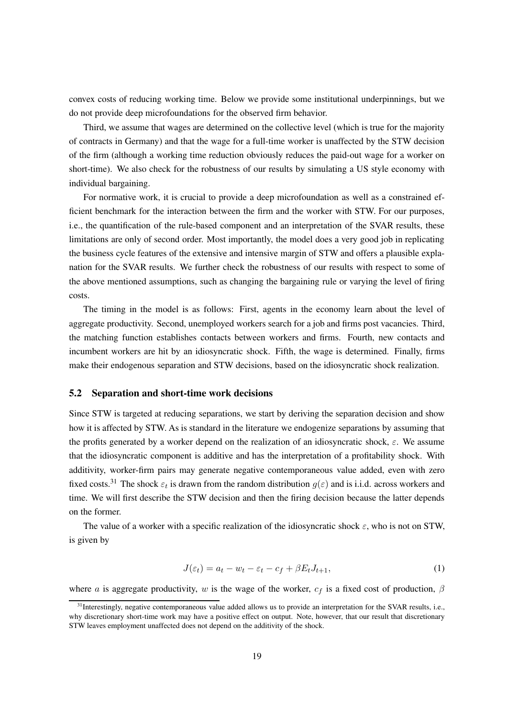convex costs of reducing working time. Below we provide some institutional underpinnings, but we do not provide deep microfoundations for the observed firm behavior.

Third, we assume that wages are determined on the collective level (which is true for the majority of contracts in Germany) and that the wage for a full-time worker is unaffected by the STW decision of the firm (although a working time reduction obviously reduces the paid-out wage for a worker on short-time). We also check for the robustness of our results by simulating a US style economy with individual bargaining.

For normative work, it is crucial to provide a deep microfoundation as well as a constrained efficient benchmark for the interaction between the firm and the worker with STW. For our purposes, i.e., the quantification of the rule-based component and an interpretation of the SVAR results, these limitations are only of second order. Most importantly, the model does a very good job in replicating the business cycle features of the extensive and intensive margin of STW and offers a plausible explanation for the SVAR results. We further check the robustness of our results with respect to some of the above mentioned assumptions, such as changing the bargaining rule or varying the level of firing costs.

The timing in the model is as follows: First, agents in the economy learn about the level of aggregate productivity. Second, unemployed workers search for a job and firms post vacancies. Third, the matching function establishes contacts between workers and firms. Fourth, new contacts and incumbent workers are hit by an idiosyncratic shock. Fifth, the wage is determined. Finally, firms make their endogenous separation and STW decisions, based on the idiosyncratic shock realization.

#### 5.2 Separation and short-time work decisions

Since STW is targeted at reducing separations, we start by deriving the separation decision and show how it is affected by STW. As is standard in the literature we endogenize separations by assuming that the profits generated by a worker depend on the realization of an idiosyncratic shock,  $\varepsilon$ . We assume that the idiosyncratic component is additive and has the interpretation of a profitability shock. With additivity, worker-firm pairs may generate negative contemporaneous value added, even with zero fixed costs.<sup>[31](#page-18-0)</sup> The shock  $\varepsilon_t$  is drawn from the random distribution  $g(\varepsilon)$  and is i.i.d. across workers and time. We will first describe the STW decision and then the firing decision because the latter depends on the former.

The value of a worker with a specific realization of the idiosyncratic shock  $\varepsilon$ , who is not on STW, is given by

$$
J(\varepsilon_t) = a_t - w_t - \varepsilon_t - c_f + \beta E_t J_{t+1},\tag{1}
$$

where a is aggregate productivity, w is the wage of the worker,  $c_f$  is a fixed cost of production,  $\beta$ 

<span id="page-18-0"></span><sup>&</sup>lt;sup>31</sup>Interestingly, negative contemporaneous value added allows us to provide an interpretation for the SVAR results, i.e., why discretionary short-time work may have a positive effect on output. Note, however, that our result that discretionary STW leaves employment unaffected does not depend on the additivity of the shock.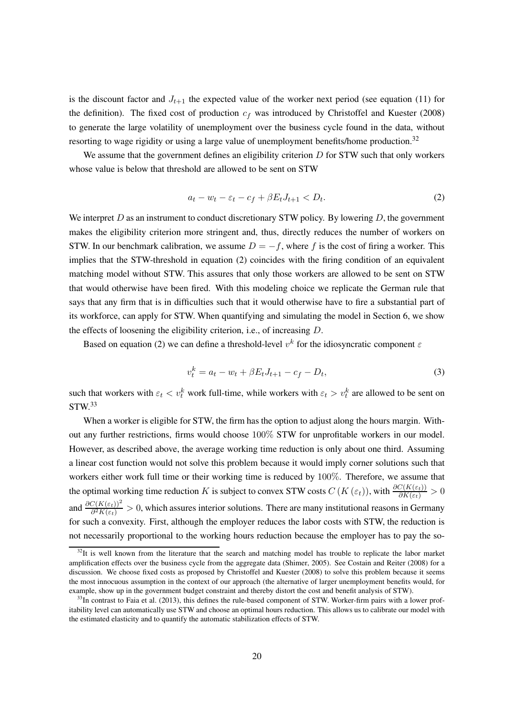is the discount factor and  $J_{t+1}$  the expected value of the worker next period (see equation [\(11\)](#page-22-0) for the definition). The fixed cost of production  $c_f$  was introduced by [Christoffel and Kuester](#page-38-10) [\(2008](#page-38-10)) to generate the large volatility of unemployment over the business cycle found in the data, without resorting to wage rigidity or using a large value of unemployment benefits/home production.<sup>[32](#page-19-0)</sup>

We assume that the government defines an eligibility criterion  $D$  for STW such that only workers whose value is below that threshold are allowed to be sent on STW

<span id="page-19-1"></span>
$$
a_t - w_t - \varepsilon_t - c_f + \beta E_t J_{t+1} < D_t. \tag{2}
$$

We interpret  $D$  as an instrument to conduct discretionary STW policy. By lowering  $D$ , the government makes the eligibility criterion more stringent and, thus, directly reduces the number of workers on STW. In our benchmark calibration, we assume  $D = -f$ , where f is the cost of firing a worker. This implies that the STW-threshold in equation [\(2\)](#page-19-1) coincides with the firing condition of an equivalent matching model without STW. This assures that only those workers are allowed to be sent on STW that would otherwise have been fired. With this modeling choice we replicate the German rule that says that any firm that is in difficulties such that it would otherwise have to fire a substantial part of its workforce, can apply for STW. When quantifying and simulating the model in Section [6,](#page-25-0) we show the effects of loosening the eligibility criterion, i.e., of increasing D.

Based on equation [\(2\)](#page-19-1) we can define a threshold-level  $v^k$  for the idiosyncratic component  $\varepsilon$ 

<span id="page-19-3"></span>
$$
v_t^k = a_t - w_t + \beta E_t J_{t+1} - c_f - D_t, \tag{3}
$$

such that workers with  $\varepsilon_t < v_t^k$  work full-time, while workers with  $\varepsilon_t > v_t^k$  are allowed to be sent on  $STW<sup>33</sup>$  $STW<sup>33</sup>$  $STW<sup>33</sup>$ 

When a worker is eligible for STW, the firm has the option to adjust along the hours margin. Without any further restrictions, firms would choose 100% STW for unprofitable workers in our model. However, as described above, the average working time reduction is only about one third. Assuming a linear cost function would not solve this problem because it would imply corner solutions such that workers either work full time or their working time is reduced by 100%. Therefore, we assume that the optimal working time reduction K is subject to convex STW costs  $C(K(\varepsilon_t))$ , with  $\frac{\partial C(K(\varepsilon_t))}{\partial K(\varepsilon_t)} > 0$ and  $\frac{\partial C(K(\varepsilon_t))^2}{\partial K(\varepsilon_t)} > 0$ , which assures interior solutions. There are many institutional reasons in Germany for such a convexity. First, although the employer reduces the labor costs with STW, the reduction is not necessarily proportional to the working hours reduction because the employer has to pay the so-

<span id="page-19-0"></span> $32$ It is well known from the literature that the search and matching model has trouble to replicate the labor market amplification effects over the business cycle from the aggregate data [\(Shimer, 2005](#page-40-5)). See [Costain and Reiter \(2008](#page-38-11)) for a discussion. We choose fixed costs as proposed by Christoffel [and Kuester \(2008](#page-38-10)) to solve this problem because it seems the most innocuous assumption in the context of our approach (the alternative of larger unemployment benefits would, for example, show up in the government budget constraint and thereby distort the cost and benefit analysis of STW).

<span id="page-19-2"></span> $33$ In contrast to [Faia et al.](#page-38-4) [\(2013](#page-38-4)), this defines the rule-based component of STW. Worker-firm pairs with a lower profitability level can automatically use STW and choose an optimal hours reduction. This allows us to calibrate our model with the estimated elasticity and to quantify the automatic stabilization effects of STW.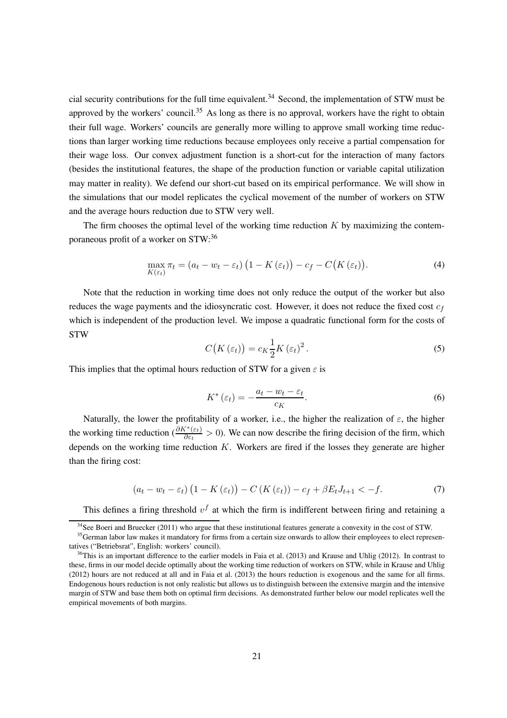cial security contributions for the full time equivalent.<sup>[34](#page-20-0)</sup> Second, the implementation of STW must be approved by the workers' council.<sup>[35](#page-20-1)</sup> As long as there is no approval, workers have the right to obtain their full wage. Workers' councils are generally more willing to approve small working time reductions than larger working time reductions because employees only receive a partial compensation for their wage loss. Our convex adjustment function is a short-cut for the interaction of many factors (besides the institutional features, the shape of the production function or variable capital utilization may matter in reality). We defend our short-cut based on its empirical performance. We will show in the simulations that our model replicates the cyclical movement of the number of workers on STW and the average hours reduction due to STW very well.

The firm chooses the optimal level of the working time reduction  $K$  by maximizing the contemporaneous profit of a worker on STW:[36](#page-20-2)

$$
\max_{K(\varepsilon_t)} \pi_t = (a_t - w_t - \varepsilon_t) \left( 1 - K(\varepsilon_t) \right) - c_f - C(K(\varepsilon_t)). \tag{4}
$$

Note that the reduction in working time does not only reduce the output of the worker but also reduces the wage payments and the idiosyncratic cost. However, it does not reduce the fixed cost  $c_f$ which is independent of the production level. We impose a quadratic functional form for the costs of **STW** 

$$
C\big(K\left(\varepsilon_{t}\right)\big)=c_{K}\frac{1}{2}K\left(\varepsilon_{t}\right)^{2}.
$$
\n(5)

This implies that the optimal hours reduction of STW for a given  $\varepsilon$  is

<span id="page-20-3"></span>
$$
K^*(\varepsilon_t) = -\frac{a_t - w_t - \varepsilon_t}{c_K}.
$$
\n<sup>(6)</sup>

Naturally, the lower the profitability of a worker, i.e., the higher the realization of  $\varepsilon$ , the higher the working time reduction  $(\frac{\partial K^*(\varepsilon_t)}{\partial \varepsilon_t} > 0)$ . We can now describe the firing decision of the firm, which depends on the working time reduction  $K$ . Workers are fired if the losses they generate are higher than the firing cost:

<span id="page-20-4"></span>
$$
\left(a_{t}-w_{t}-\varepsilon_{t}\right)\left(1-K\left(\varepsilon_{t}\right)\right)-C\left(K\left(\varepsilon_{t}\right)\right)-c_{f}+\beta E_{t}J_{t+1}<-f.\tag{7}
$$

This defines a firing threshold  $v<sup>f</sup>$  at which the firm is indifferent between firing and retaining a

<span id="page-20-0"></span> $34$ See [Boeri and Bruecker](#page-37-0) [\(2011](#page-37-0)) who argue that these institutional features generate a convexity in the cost of STW.

<span id="page-20-1"></span><sup>&</sup>lt;sup>35</sup>German labor law makes it mandatory for firms from a certain size onwards to allow their employees to elect representatives ("Betriebsrat", English: workers' council).

<span id="page-20-2"></span> $36$ This is an important difference to the earlier models in Faia [et al. \(2013\)](#page-38-4) and [Krause and Uhlig \(2012\)](#page-39-4). In contrast to these, firms in our model decide optimally about the working time reduction of workers on STW, while in [Krause and Uhlig](#page-39-4) [\(2012\)](#page-39-4) hours are not reduced at all and in [Faia et al.](#page-38-4) [\(2013](#page-38-4)) the hours reduction is exogenous and the same for all firms. Endogenous hours reduction is not only realistic but allows us to distinguish between the extensive margin and the intensive margin of STW and base them both on optimal firm decisions. As demonstrated further below our model replicates well the empirical movements of both margins.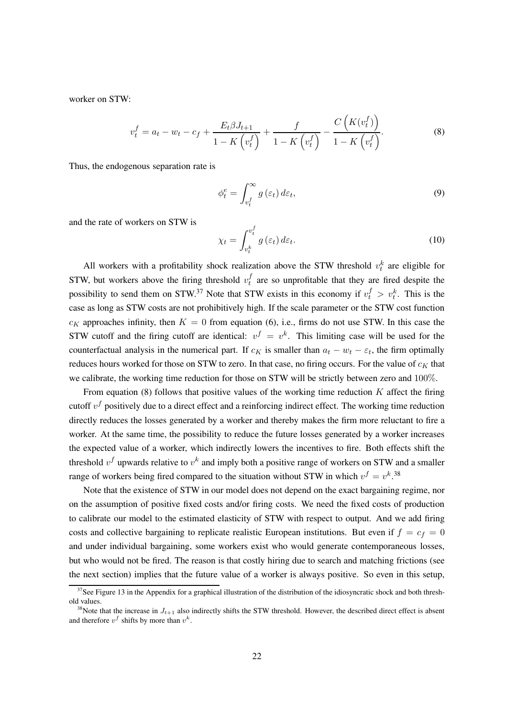worker on STW:

<span id="page-21-1"></span>
$$
v_t^f = a_t - w_t - c_f + \frac{E_t \beta J_{t+1}}{1 - K(v_t^f)} + \frac{f}{1 - K(v_t^f)} - \frac{C(K(v_t^f))}{1 - K(v_t^f)}.
$$
 (8)

Thus, the endogenous separation rate is

<span id="page-21-3"></span>
$$
\phi_t^e = \int_{v_t^f}^{\infty} g\left(\varepsilon_t\right) d\varepsilon_t,\tag{9}
$$

and the rate of workers on STW is

<span id="page-21-4"></span>
$$
\chi_t = \int_{v_t^k}^{v_t^f} g\left(\varepsilon_t\right) d\varepsilon_t.
$$
\n(10)

All workers with a profitability shock realization above the STW threshold  $v_t^k$  are eligible for STW, but workers above the firing threshold  $v_t^f$  $t_t$  are so unprofitable that they are fired despite the possibility to send them on STW.<sup>[37](#page-21-0)</sup> Note that STW exists in this economy if  $v_t^f > v_t^k$ . This is the case as long as STW costs are not prohibitively high. If the scale parameter or the STW cost function  $c_K$  approaches infinity, then  $K = 0$  from equation [\(6\)](#page-20-3), i.e., firms do not use STW. In this case the STW cutoff and the firing cutoff are identical:  $v^f = v^k$ . This limiting case will be used for the counterfactual analysis in the numerical part. If  $c_K$  is smaller than  $a_t - w_t - \varepsilon_t$ , the firm optimally reduces hours worked for those on STW to zero. In that case, no firing occurs. For the value of  $c_K$  that we calibrate, the working time reduction for those on STW will be strictly between zero and 100%.

From equation [\(8\)](#page-21-1) follows that positive values of the working time reduction  $K$  affect the firing cutoff  $v^f$  positively due to a direct effect and a reinforcing indirect effect. The working time reduction directly reduces the losses generated by a worker and thereby makes the firm more reluctant to fire a worker. At the same time, the possibility to reduce the future losses generated by a worker increases the expected value of a worker, which indirectly lowers the incentives to fire. Both effects shift the threshold  $v<sup>f</sup>$  upwards relative to  $v<sup>k</sup>$  and imply both a positive range of workers on STW and a smaller range of workers being fired compared to the situation without STW in which  $v^f = v^k$ .<sup>[38](#page-21-2)</sup>

Note that the existence of STW in our model does not depend on the exact bargaining regime, nor on the assumption of positive fixed costs and/or firing costs. We need the fixed costs of production to calibrate our model to the estimated elasticity of STW with respect to output. And we add firing costs and collective bargaining to replicate realistic European institutions. But even if  $f = c_f = 0$ and under individual bargaining, some workers exist who would generate contemporaneous losses, but who would not be fired. The reason is that costly hiring due to search and matching frictions (see the next section) implies that the future value of a worker is always positive. So even in this setup,

 $37$ See Figure [13](#page-47-1) in the Appendix for a graphical illustration of the distribution of the idiosyncratic shock and both threshold values.

<span id="page-21-2"></span><span id="page-21-0"></span><sup>&</sup>lt;sup>38</sup>Note that the increase in  $J_{t+1}$  also indirectly shifts the STW threshold. However, the described direct effect is absent and therefore  $v^f$  shifts by more than  $v^k$ .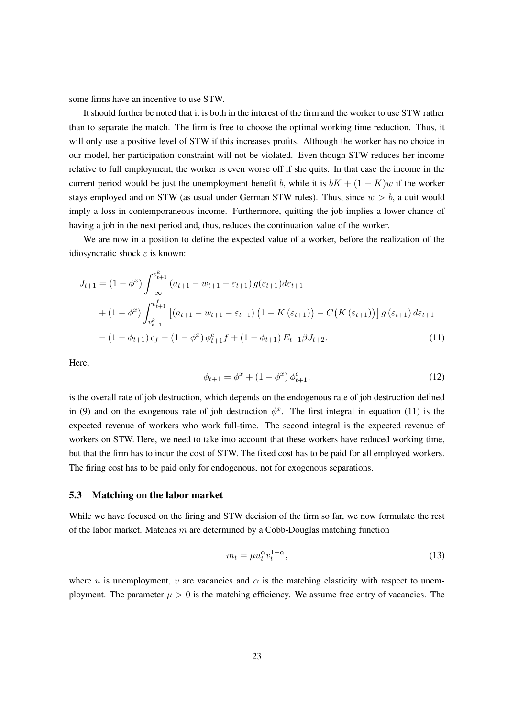some firms have an incentive to use STW.

It should further be noted that it is both in the interest of the firm and the worker to use STW rather than to separate the match. The firm is free to choose the optimal working time reduction. Thus, it will only use a positive level of STW if this increases profits. Although the worker has no choice in our model, her participation constraint will not be violated. Even though STW reduces her income relative to full employment, the worker is even worse off if she quits. In that case the income in the current period would be just the unemployment benefit b, while it is  $bK + (1 - K)w$  if the worker stays employed and on STW (as usual under German STW rules). Thus, since  $w > b$ , a quit would imply a loss in contemporaneous income. Furthermore, quitting the job implies a lower chance of having a job in the next period and, thus, reduces the continuation value of the worker.

We are now in a position to define the expected value of a worker, before the realization of the idiosyncratic shock  $\varepsilon$  is known:

$$
J_{t+1} = (1 - \phi^x) \int_{-\infty}^{v_{t+1}^k} (a_{t+1} - w_{t+1} - \varepsilon_{t+1}) g(\varepsilon_{t+1}) d\varepsilon_{t+1}
$$
  
+ 
$$
(1 - \phi^x) \int_{v_{t+1}^k}^{v_{t+1}^f} [(a_{t+1} - w_{t+1} - \varepsilon_{t+1}) (1 - K(\varepsilon_{t+1})) - C(K(\varepsilon_{t+1}))] g(\varepsilon_{t+1}) d\varepsilon_{t+1}
$$
  
- 
$$
(1 - \phi_{t+1}) c_f - (1 - \phi^x) \phi_{t+1}^e f + (1 - \phi_{t+1}) E_{t+1} \beta J_{t+2}.
$$
 (11)

Here,

<span id="page-22-0"></span>
$$
\phi_{t+1} = \phi^x + (1 - \phi^x) \phi_{t+1}^e,\tag{12}
$$

is the overall rate of job destruction, which depends on the endogenous rate of job destruction defined in [\(9\)](#page-21-3) and on the exogenous rate of job destruction  $\phi^x$ . The first integral in equation [\(11\)](#page-22-0) is the expected revenue of workers who work full-time. The second integral is the expected revenue of workers on STW. Here, we need to take into account that these workers have reduced working time, but that the firm has to incur the cost of STW. The fixed cost has to be paid for all employed workers. The firing cost has to be paid only for endogenous, not for exogenous separations.

#### 5.3 Matching on the labor market

While we have focused on the firing and STW decision of the firm so far, we now formulate the rest of the labor market. Matches  $m$  are determined by a Cobb-Douglas matching function

$$
m_t = \mu u_t^{\alpha} v_t^{1-\alpha},\tag{13}
$$

where u is unemployment, v are vacancies and  $\alpha$  is the matching elasticity with respect to unemployment. The parameter  $\mu > 0$  is the matching efficiency. We assume free entry of vacancies. The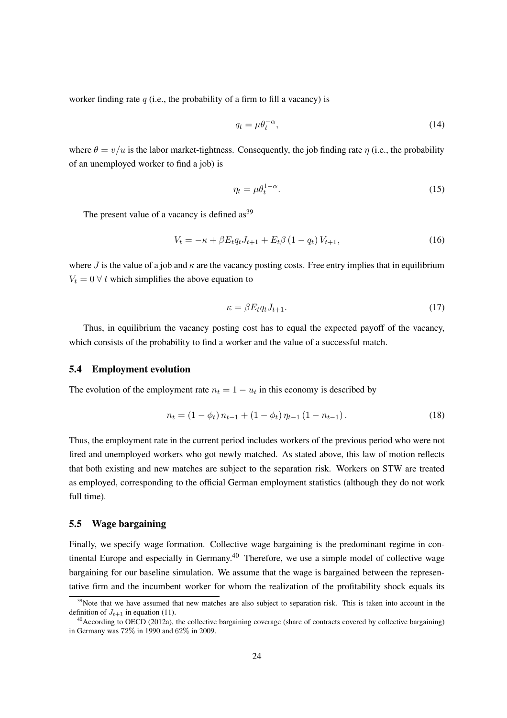worker finding rate  $q$  (i.e., the probability of a firm to fill a vacancy) is

$$
q_t = \mu \theta_t^{-\alpha},\tag{14}
$$

where  $\theta = v/u$  is the labor market-tightness. Consequently, the job finding rate  $\eta$  (i.e., the probability of an unemployed worker to find a job) is

$$
\eta_t = \mu \theta_t^{1-\alpha}.\tag{15}
$$

The present value of a vacancy is defined  $as<sup>39</sup>$  $as<sup>39</sup>$  $as<sup>39</sup>$ 

<span id="page-23-3"></span>
$$
V_t = -\kappa + \beta E_t q_t J_{t+1} + E_t \beta (1 - q_t) V_{t+1}, \qquad (16)
$$

where J is the value of a job and  $\kappa$  are the vacancy posting costs. Free entry implies that in equilibrium  $V_t = 0$   $\forall$  t which simplifies the above equation to

$$
\kappa = \beta E_t q_t J_{t+1}.\tag{17}
$$

Thus, in equilibrium the vacancy posting cost has to equal the expected payoff of the vacancy, which consists of the probability to find a worker and the value of a successful match.

#### 5.4 Employment evolution

The evolution of the employment rate  $n_t = 1 - u_t$  in this economy is described by

<span id="page-23-2"></span>
$$
n_t = (1 - \phi_t) n_{t-1} + (1 - \phi_t) n_{t-1} (1 - n_{t-1}).
$$
\n(18)

Thus, the employment rate in the current period includes workers of the previous period who were not fired and unemployed workers who got newly matched. As stated above, this law of motion reflects that both existing and new matches are subject to the separation risk. Workers on STW are treated as employed, corresponding to the official German employment statistics (although they do not work full time).

#### 5.5 Wage bargaining

Finally, we specify wage formation. Collective wage bargaining is the predominant regime in con-tinental Europe and especially in Germany.<sup>[40](#page-23-1)</sup> Therefore, we use a simple model of collective wage bargaining for our baseline simulation. We assume that the wage is bargained between the representative firm and the incumbent worker for whom the realization of the profitability shock equals its

 $39$ Note that we have assumed that new matches are also subject to separation risk. This is taken into account in the definition of  $J_{t+1}$  in equation [\(11\)](#page-22-0).

<span id="page-23-1"></span><span id="page-23-0"></span><sup>&</sup>lt;sup>40</sup> According to [OECD \(2012a\)](#page-39-9), the collective bargaining coverage (share of contracts covered by collective bargaining) in Germany was 72% in 1990 and 62% in 2009.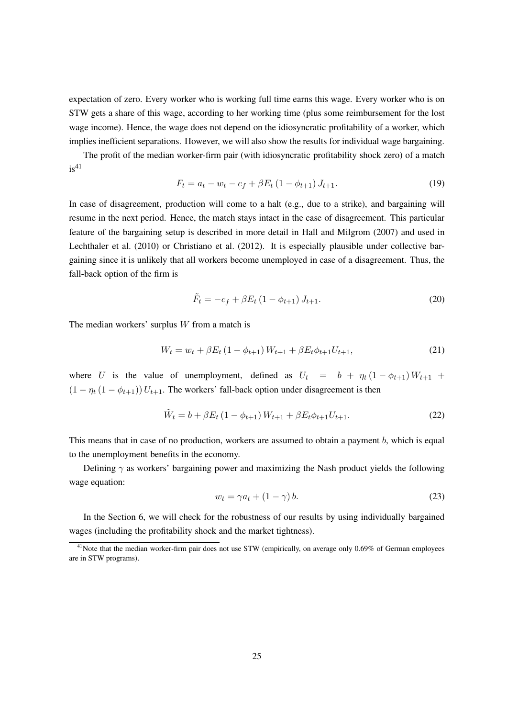expectation of zero. Every worker who is working full time earns this wage. Every worker who is on STW gets a share of this wage, according to her working time (plus some reimbursement for the lost wage income). Hence, the wage does not depend on the idiosyncratic profitability of a worker, which implies inefficient separations. However, we will also show the results for individual wage bargaining.

The profit of the median worker-firm pair (with idiosyncratic profitability shock zero) of a match  $is<sup>41</sup>$  $is<sup>41</sup>$  $is<sup>41</sup>$ 

$$
F_t = a_t - w_t - c_f + \beta E_t (1 - \phi_{t+1}) J_{t+1}.
$$
\n(19)

In case of disagreement, production will come to a halt (e.g., due to a strike), and bargaining will resume in the next period. Hence, the match stays intact in the case of disagreement. This particular feature of the bargaining setup is described in more detail in [Hall and Milgrom](#page-38-12) [\(2007](#page-38-12)) and used in [Lechthaler et al. \(2010\)](#page-39-10) or [Christiano et al.](#page-38-13) [\(2012](#page-38-13)). It is especially plausible under collective bargaining since it is unlikely that all workers become unemployed in case of a disagreement. Thus, the fall-back option of the firm is

$$
\tilde{F}_t = -c_f + \beta E_t (1 - \phi_{t+1}) J_{t+1}.
$$
\n(20)

The median workers' surplus  $W$  from a match is

$$
W_t = w_t + \beta E_t (1 - \phi_{t+1}) W_{t+1} + \beta E_t \phi_{t+1} U_{t+1},
$$
\n(21)

where U is the value of unemployment, defined as  $U_t = b + \eta_t (1 - \phi_{t+1}) W_{t+1}$  +  $(1 - \eta_t (1 - \phi_{t+1})) U_{t+1}$ . The workers' fall-back option under disagreement is then

$$
\tilde{W}_t = b + \beta E_t (1 - \phi_{t+1}) W_{t+1} + \beta E_t \phi_{t+1} U_{t+1}.
$$
\n(22)

This means that in case of no production, workers are assumed to obtain a payment b, which is equal to the unemployment benefits in the economy.

Defining  $\gamma$  as workers' bargaining power and maximizing the Nash product yields the following wage equation:

<span id="page-24-1"></span>
$$
w_t = \gamma a_t + (1 - \gamma) b. \tag{23}
$$

In the Section [6,](#page-25-0) we will check for the robustness of our results by using individually bargained wages (including the profitability shock and the market tightness).

<span id="page-24-0"></span><sup>&</sup>lt;sup>41</sup>Note that the median worker-firm pair does not use STW (empirically, on average only 0.69% of German employees are in STW programs).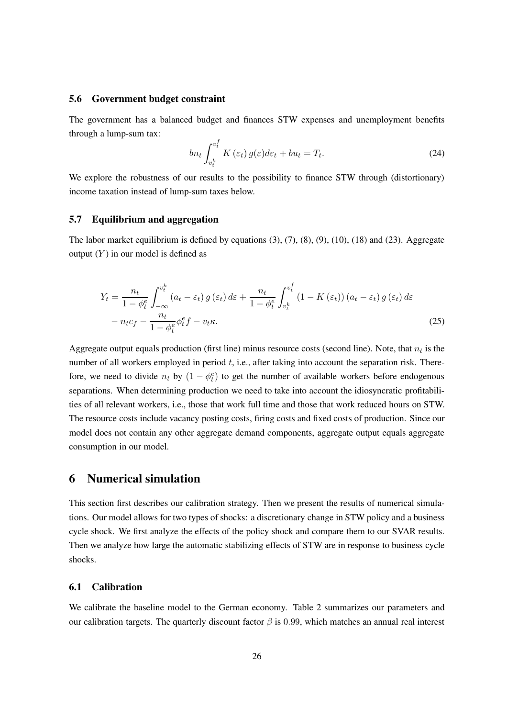#### 5.6 Government budget constraint

The government has a balanced budget and finances STW expenses and unemployment benefits through a lump-sum tax:

$$
bn_t \int_{v_t^k}^{v_t^f} K(\varepsilon_t) g(\varepsilon) d\varepsilon_t + bu_t = T_t.
$$
\n(24)

We explore the robustness of our results to the possibility to finance STW through (distortionary) income taxation instead of lump-sum taxes below.

#### 5.7 Equilibrium and aggregation

The labor market equilibrium is defined by equations  $(3)$ ,  $(7)$ ,  $(8)$ ,  $(9)$ ,  $(10)$ ,  $(18)$  and  $(23)$ . Aggregate output  $(Y)$  in our model is defined as

$$
Y_{t} = \frac{n_{t}}{1 - \phi_{t}^{e}} \int_{-\infty}^{v_{t}^{k}} (a_{t} - \varepsilon_{t}) g(\varepsilon_{t}) d\varepsilon + \frac{n_{t}}{1 - \phi_{t}^{e}} \int_{v_{t}^{k}}^{v_{t}^{f}} (1 - K(\varepsilon_{t})) (a_{t} - \varepsilon_{t}) g(\varepsilon_{t}) d\varepsilon
$$

$$
- n_{t} c_{f} - \frac{n_{t}}{1 - \phi_{t}^{e}} \phi_{t}^{e} f - v_{t} \kappa.
$$
(25)

Aggregate output equals production (first line) minus resource costs (second line). Note, that  $n_t$  is the number of all workers employed in period  $t$ , i.e., after taking into account the separation risk. Therefore, we need to divide  $n_t$  by  $(1 - \phi_t^e)$  to get the number of available workers before endogenous separations. When determining production we need to take into account the idiosyncratic profitabilities of all relevant workers, i.e., those that work full time and those that work reduced hours on STW. The resource costs include vacancy posting costs, firing costs and fixed costs of production. Since our model does not contain any other aggregate demand components, aggregate output equals aggregate consumption in our model.

### <span id="page-25-0"></span>6 Numerical simulation

This section first describes our calibration strategy. Then we present the results of numerical simulations. Our model allows for two types of shocks: a discretionary change in STW policy and a business cycle shock. We first analyze the effects of the policy shock and compare them to our SVAR results. Then we analyze how large the automatic stabilizing effects of STW are in response to business cycle shocks.

#### <span id="page-25-1"></span>6.1 Calibration

We calibrate the baseline model to the German economy. Table [2](#page-26-0) summarizes our parameters and our calibration targets. The quarterly discount factor  $\beta$  is 0.99, which matches an annual real interest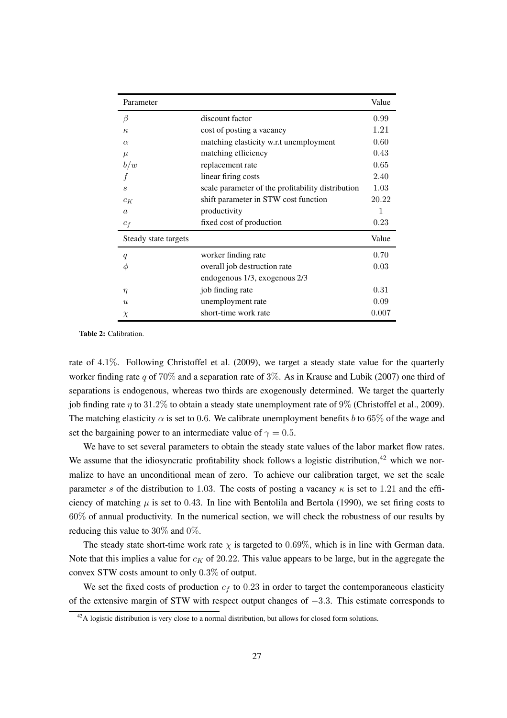<span id="page-26-0"></span>

| Parameter                   |                                                   | Value |
|-----------------------------|---------------------------------------------------|-------|
| β                           | discount factor                                   | 0.99  |
| $\kappa$                    | cost of posting a vacancy                         | 1.21  |
| $\alpha$                    | matching elasticity w.r.t unemployment            | 0.60  |
| $\mu$                       | matching efficiency                               | 0.43  |
| b/w                         | replacement rate                                  | 0.65  |
|                             | linear firing costs                               | 2.40  |
| $\mathcal{S}_{\mathcal{S}}$ | scale parameter of the profitability distribution | 1.03  |
| $c_K$                       | shift parameter in STW cost function              | 20.22 |
| $\alpha$                    | productivity                                      | 1     |
| $c_f$                       | fixed cost of production                          | 0.23  |
| Steady state targets        |                                                   | Value |
| q                           | worker finding rate                               | 0.70  |
| Φ                           | overall job destruction rate                      | 0.03  |
|                             | endogenous 1/3, exogenous 2/3                     |       |
| $\eta$                      | job finding rate                                  | 0.31  |
| $\mathcal{U}$               | unemployment rate                                 | 0.09  |
| $\chi$                      | short-time work rate                              | 0.007 |

Table 2: Calibration.

rate of 4.1%. Following [Christoffel et al.](#page-38-14) [\(2009](#page-38-14)), we target a steady state value for the quarterly worker finding rate q of 70% and a separation rate of 3%. As in [Krause and Lubik \(2007\)](#page-39-11) one third of separations is endogenous, whereas two thirds are exogenously determined. We target the quarterly job finding rate  $\eta$  to 31.2% to obtain a steady state unemployment rate of 9% [\(Christoffel et al., 2009](#page-38-14)). The matching elasticity  $\alpha$  is set to 0.6. We calibrate unemployment benefits b to 65% of the wage and set the bargaining power to an intermediate value of  $\gamma = 0.5$ .

We have to set several parameters to obtain the steady state values of the labor market flow rates. We assume that the idiosyncratic profitability shock follows a logistic distribution,  $42$  which we normalize to have an unconditional mean of zero. To achieve our calibration target, we set the scale parameter s of the distribution to 1.03. The costs of posting a vacancy  $\kappa$  is set to 1.21 and the efficiency of matching  $\mu$  is set to 0.43. In line with [Bentolila and Bertola](#page-37-11) [\(1990](#page-37-11)), we set firing costs to 60% of annual productivity. In the numerical section, we will check the robustness of our results by reducing this value to 30% and 0%.

The steady state short-time work rate  $\chi$  is targeted to 0.69%, which is in line with German data. Note that this implies a value for  $c_K$  of 20.22. This value appears to be large, but in the aggregate the convex STW costs amount to only 0.3% of output.

We set the fixed costs of production  $c_f$  to 0.23 in order to target the contemporaneous elasticity of the extensive margin of STW with respect output changes of −3.3. This estimate corresponds to

<span id="page-26-1"></span> $^{42}$ A logistic distribution is very close to a normal distribution, but allows for closed form solutions.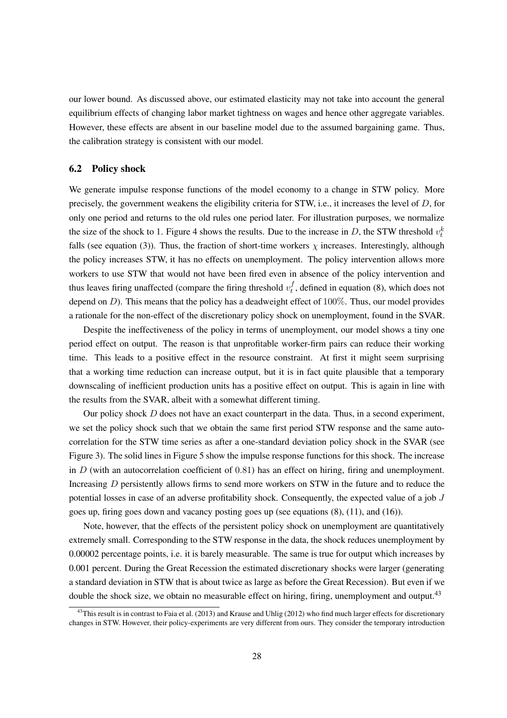our lower bound. As discussed above, our estimated elasticity may not take into account the general equilibrium effects of changing labor market tightness on wages and hence other aggregate variables. However, these effects are absent in our baseline model due to the assumed bargaining game. Thus, the calibration strategy is consistent with our model.

#### 6.2 Policy shock

We generate impulse response functions of the model economy to a change in STW policy. More precisely, the government weakens the eligibility criteria for STW, i.e., it increases the level of D, for only one period and returns to the old rules one period later. For illustration purposes, we normalize the size of the shock to 1. Figure [4](#page-28-0) shows the results. Due to the increase in D, the STW threshold  $v_t^k$ falls (see equation [\(3\)](#page-19-3)). Thus, the fraction of short-time workers  $\chi$  increases. Interestingly, although the policy increases STW, it has no effects on unemployment. The policy intervention allows more workers to use STW that would not have been fired even in absence of the policy intervention and thus leaves firing unaffected (compare the firing threshold  $v_t^f$  $_t^J$ , defined in equation [\(8\)](#page-21-1), which does not depend on  $D$ ). This means that the policy has a deadweight effect of  $100\%$ . Thus, our model provides a rationale for the non-effect of the discretionary policy shock on unemployment, found in the SVAR.

Despite the ineffectiveness of the policy in terms of unemployment, our model shows a tiny one period effect on output. The reason is that unprofitable worker-firm pairs can reduce their working time. This leads to a positive effect in the resource constraint. At first it might seem surprising that a working time reduction can increase output, but it is in fact quite plausible that a temporary downscaling of inefficient production units has a positive effect on output. This is again in line with the results from the SVAR, albeit with a somewhat different timing.

Our policy shock  $D$  does not have an exact counterpart in the data. Thus, in a second experiment, we set the policy shock such that we obtain the same first period STW response and the same autocorrelation for the STW time series as after a one-standard deviation policy shock in the SVAR (see Figure 3). The solid lines in Figure [5](#page-29-0) show the impulse response functions for this shock. The increase in  $D$  (with an autocorrelation coefficient of 0.81) has an effect on hiring, firing and unemployment. Increasing D persistently allows firms to send more workers on STW in the future and to reduce the potential losses in case of an adverse profitability shock. Consequently, the expected value of a job J goes up, firing goes down and vacancy posting goes up (see equations [\(8\)](#page-21-1), [\(11\)](#page-22-0), and [\(16\)](#page-23-3)).

Note, however, that the effects of the persistent policy shock on unemployment are quantitatively extremely small. Corresponding to the STW response in the data, the shock reduces unemployment by 0.00002 percentage points, i.e. it is barely measurable. The same is true for output which increases by 0.001 percent. During the Great Recession the estimated discretionary shocks were larger (generating a standard deviation in STW that is about twice as large as before the Great Recession). But even if we double the shock size, we obtain no measurable effect on hiring, firing, unemployment and output.<sup>[43](#page-27-0)</sup>

<span id="page-27-0"></span> $^{43}$ This result is in contrast to [Faia et al. \(2013\)](#page-38-4) and [Krause and](#page-39-4) Uhlig [\(2012\)](#page-39-4) who find much larger effects for discretionary changes in STW. However, their policy-experiments are very different from ours. They consider the temporary introduction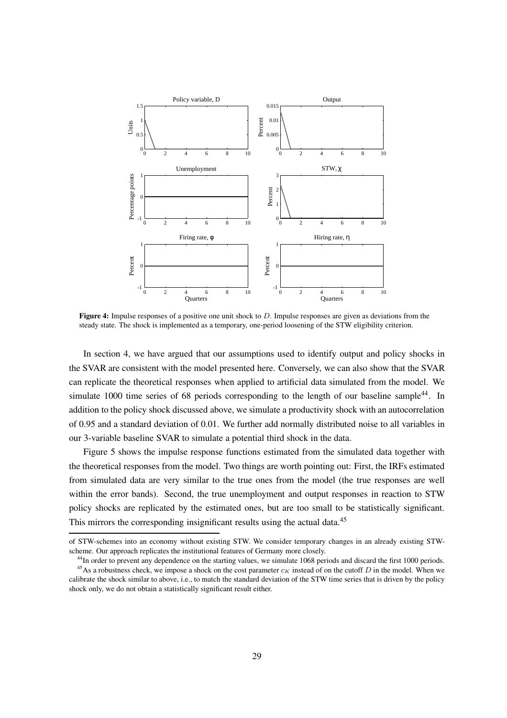<span id="page-28-0"></span>

Figure 4: Impulse responses of a positive one unit shock to  $D$ . Impulse responses are given as deviations from the steady state. The shock is implemented as a temporary, one-period loosening of the STW eligibility criterion.

In section [4,](#page-11-0) we have argued that our assumptions used to identify output and policy shocks in the SVAR are consistent with the model presented here. Conversely, we can also show that the SVAR can replicate the theoretical responses when applied to artificial data simulated from the model. We simulate 1000 time series of 68 periods corresponding to the length of our baseline sample<sup>[44](#page-28-1)</sup>. In addition to the policy shock discussed above, we simulate a productivity shock with an autocorrelation of 0.95 and a standard deviation of 0.01. We further add normally distributed noise to all variables in our 3-variable baseline SVAR to simulate a potential third shock in the data.

Figure [5](#page-29-0) shows the impulse response functions estimated from the simulated data together with the theoretical responses from the model. Two things are worth pointing out: First, the IRFs estimated from simulated data are very similar to the true ones from the model (the true responses are well within the error bands). Second, the true unemployment and output responses in reaction to STW policy shocks are replicated by the estimated ones, but are too small to be statistically significant. This mirrors the corresponding insignificant results using the actual data.<sup>[45](#page-28-2)</sup>

of STW-schemes into an economy without existing STW. We consider temporary changes in an already existing STWscheme. Our approach replicates the institutional features of Germany more closely.

<span id="page-28-2"></span><span id="page-28-1"></span><sup>&</sup>lt;sup>44</sup>In order to prevent any dependence on the starting values, we simulate 1068 periods and discard the first 1000 periods. <sup>45</sup>As a robustness check, we impose a shock on the cost parameter  $c_K$  instead of on the cutoff D in the model. When we calibrate the shock similar to above, i.e., to match the standard deviation of the STW time series that is driven by the policy shock only, we do not obtain a statistically significant result either.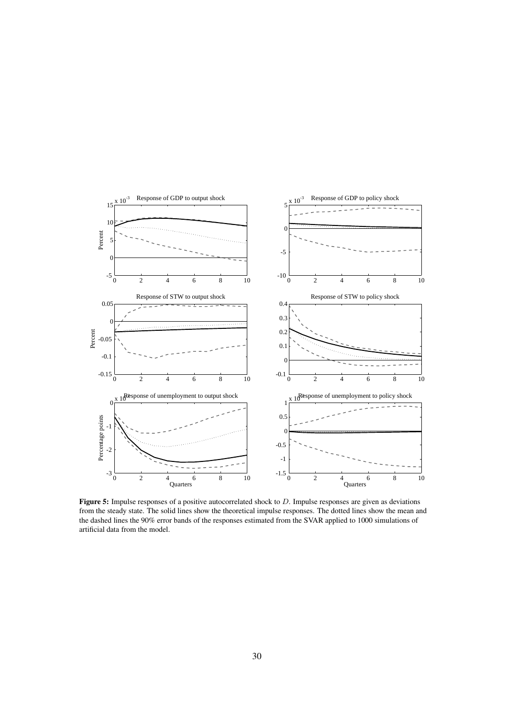<span id="page-29-0"></span>

**Figure 5:** Impulse responses of a positive autocorrelated shock to  $D$ . Impulse responses are given as deviations from the steady state. The solid lines show the theoretical impulse responses. The dotted lines show the mean and the dashed lines the 90% error bands of the responses estimated from the SVAR applied to 1000 simulations of artificial data from the model.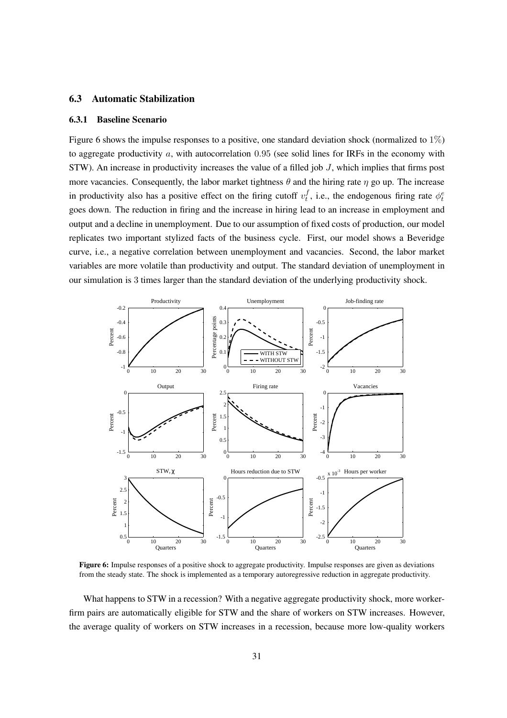### 6.3 Automatic Stabilization

#### 6.3.1 Baseline Scenario

Figure [6](#page-30-0) shows the impulse responses to a positive, one standard deviation shock (normalized to  $1\%$ ) to aggregate productivity  $a$ , with autocorrelation 0.95 (see solid lines for IRFs in the economy with STW). An increase in productivity increases the value of a filled job J, which implies that firms post more vacancies. Consequently, the labor market tightness  $\theta$  and the hiring rate  $\eta$  go up. The increase in productivity also has a positive effect on the firing cutoff  $v_t^f$  $t_t^f$ , i.e., the endogenous firing rate  $\phi_t^e$ goes down. The reduction in firing and the increase in hiring lead to an increase in employment and output and a decline in unemployment. Due to our assumption of fixed costs of production, our model replicates two important stylized facts of the business cycle. First, our model shows a Beveridge curve, i.e., a negative correlation between unemployment and vacancies. Second, the labor market variables are more volatile than productivity and output. The standard deviation of unemployment in our simulation is 3 times larger than the standard deviation of the underlying productivity shock.

<span id="page-30-0"></span>

Figure 6: Impulse responses of a positive shock to aggregate productivity. Impulse responses are given as deviations from the steady state. The shock is implemented as a temporary autoregressive reduction in aggregate productivity.

What happens to STW in a recession? With a negative aggregate productivity shock, more workerfirm pairs are automatically eligible for STW and the share of workers on STW increases. However, the average quality of workers on STW increases in a recession, because more low-quality workers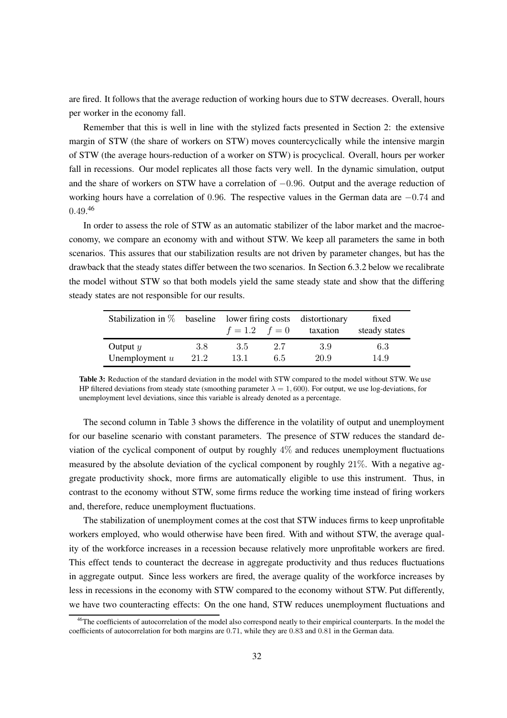are fired. It follows that the average reduction of working hours due to STW decreases. Overall, hours per worker in the economy fall.

Remember that this is well in line with the stylized facts presented in Section [2:](#page-3-0) the extensive margin of STW (the share of workers on STW) moves countercyclically while the intensive margin of STW (the average hours-reduction of a worker on STW) is procyclical. Overall, hours per worker fall in recessions. Our model replicates all those facts very well. In the dynamic simulation, output and the share of workers on STW have a correlation of −0.96. Output and the average reduction of working hours have a correlation of 0.96. The respective values in the German data are −0.74 and  $0.49.^{46}$  $0.49.^{46}$  $0.49.^{46}$ 

In order to assess the role of STW as an automatic stabilizer of the labor market and the macroeconomy, we compare an economy with and without STW. We keep all parameters the same in both scenarios. This assures that our stabilization results are not driven by parameter changes, but has the drawback that the steady states differ between the two scenarios. In Section [6.3.2](#page-32-0) below we recalibrate the model without STW so that both models yield the same steady state and show that the differing steady states are not responsible for our results.

<span id="page-31-1"></span>

|                  |      | Stabilization in $\%$ baseline lower firing costs distortionary |     |          | fixed         |
|------------------|------|-----------------------------------------------------------------|-----|----------|---------------|
|                  |      | $f = 1.2$ $f = 0$                                               |     | taxation | steady states |
| Output $y$       | 3.8  | 3.5                                                             | 2.7 | 3.9      | 6.3           |
| Unemployment $u$ | 21.2 | 13.1                                                            | 6.5 | 20.9     | 14.9          |

Table 3: Reduction of the standard deviation in the model with STW compared to the model without STW. We use HP filtered deviations from steady state (smoothing parameter  $\lambda = 1,600$ ). For output, we use log-deviations, for unemployment level deviations, since this variable is already denoted as a percentage.

The second column in Table [3](#page-31-1) shows the difference in the volatility of output and unemployment for our baseline scenario with constant parameters. The presence of STW reduces the standard deviation of the cyclical component of output by roughly 4% and reduces unemployment fluctuations measured by the absolute deviation of the cyclical component by roughly 21%. With a negative aggregate productivity shock, more firms are automatically eligible to use this instrument. Thus, in contrast to the economy without STW, some firms reduce the working time instead of firing workers and, therefore, reduce unemployment fluctuations.

The stabilization of unemployment comes at the cost that STW induces firms to keep unprofitable workers employed, who would otherwise have been fired. With and without STW, the average quality of the workforce increases in a recession because relatively more unprofitable workers are fired. This effect tends to counteract the decrease in aggregate productivity and thus reduces fluctuations in aggregate output. Since less workers are fired, the average quality of the workforce increases by less in recessions in the economy with STW compared to the economy without STW. Put differently, we have two counteracting effects: On the one hand, STW reduces unemployment fluctuations and

<span id="page-31-0"></span><sup>&</sup>lt;sup>46</sup>The coefficients of autocorrelation of the model also correspond neatly to their empirical counterparts. In the model the coefficients of autocorrelation for both margins are 0.71, while they are 0.83 and 0.81 in the German data.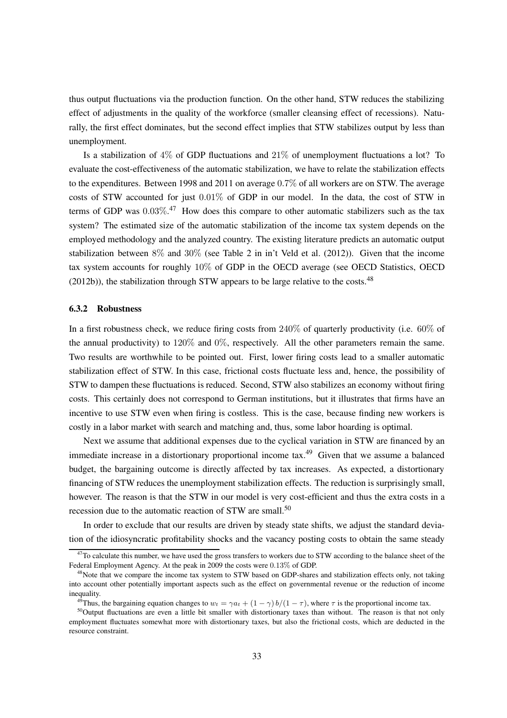thus output fluctuations via the production function. On the other hand, STW reduces the stabilizing effect of adjustments in the quality of the workforce (smaller cleansing effect of recessions). Naturally, the first effect dominates, but the second effect implies that STW stabilizes output by less than unemployment.

Is a stabilization of 4% of GDP fluctuations and 21% of unemployment fluctuations a lot? To evaluate the cost-effectiveness of the automatic stabilization, we have to relate the stabilization effects to the expenditures. Between 1998 and 2011 on average 0.7% of all workers are on STW. The average costs of STW accounted for just 0.01% of GDP in our model. In the data, the cost of STW in terms of GDP was  $0.03\%$ <sup>[47](#page-32-1)</sup> How does this compare to other automatic stabilizers such as the tax system? The estimated size of the automatic stabilization of the income tax system depends on the employed methodology and the analyzed country. The existing literature predicts an automatic output stabilization between 8% and 30% (see Table 2 in [in't Veld et al.](#page-39-12) [\(2012](#page-39-12))). Given that the income tax system accounts for roughly 10% of GDP in the OECD average (see OECD Statistics, [OECD](#page-39-13)  $(2012b)$ , the stabilization through STW appears to be large relative to the costs.<sup>[48](#page-32-2)</sup>

#### <span id="page-32-0"></span>6.3.2 Robustness

In a first robustness check, we reduce firing costs from 240% of quarterly productivity (i.e. 60% of the annual productivity) to  $120\%$  and  $0\%$ , respectively. All the other parameters remain the same. Two results are worthwhile to be pointed out. First, lower firing costs lead to a smaller automatic stabilization effect of STW. In this case, frictional costs fluctuate less and, hence, the possibility of STW to dampen these fluctuations is reduced. Second, STW also stabilizes an economy without firing costs. This certainly does not correspond to German institutions, but it illustrates that firms have an incentive to use STW even when firing is costless. This is the case, because finding new workers is costly in a labor market with search and matching and, thus, some labor hoarding is optimal.

Next we assume that additional expenses due to the cyclical variation in STW are financed by an immediate increase in a distortionary proportional income tax.<sup>[49](#page-32-3)</sup> Given that we assume a balanced budget, the bargaining outcome is directly affected by tax increases. As expected, a distortionary financing of STW reduces the unemployment stabilization effects. The reduction is surprisingly small, however. The reason is that the STW in our model is very cost-efficient and thus the extra costs in a recession due to the automatic reaction of STW are small.<sup>[50](#page-32-4)</sup>

In order to exclude that our results are driven by steady state shifts, we adjust the standard deviation of the idiosyncratic profitability shocks and the vacancy posting costs to obtain the same steady

<span id="page-32-1"></span> $^{47}$ To calculate this number, we have used the gross transfers to workers due to STW according to the balance sheet of the Federal Employment Agency. At the peak in 2009 the costs were 0.13% of GDP.

<span id="page-32-2"></span><sup>&</sup>lt;sup>48</sup>Note that we compare the income tax system to STW based on GDP-shares and stabilization effects only, not taking into account other potentially important aspects such as the effect on governmental revenue or the reduction of income inequality.

<span id="page-32-3"></span><sup>&</sup>lt;sup>49</sup>Thus, the bargaining equation changes to  $w_t = \gamma a_t + (1 - \gamma) b/(1 - \tau)$ , where  $\tau$  is the proportional income tax.

<span id="page-32-4"></span><sup>&</sup>lt;sup>50</sup>Output fluctuations are even a little bit smaller with distortionary taxes than without. The reason is that not only employment fluctuates somewhat more with distortionary taxes, but also the frictional costs, which are deducted in the resource constraint.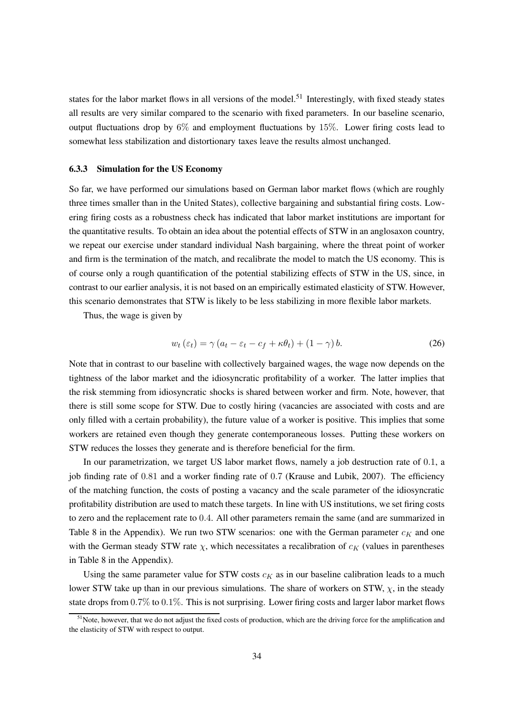states for the labor market flows in all versions of the model.<sup>[51](#page-33-0)</sup> Interestingly, with fixed steady states all results are very similar compared to the scenario with fixed parameters. In our baseline scenario, output fluctuations drop by  $6\%$  and employment fluctuations by 15%. Lower firing costs lead to somewhat less stabilization and distortionary taxes leave the results almost unchanged.

#### 6.3.3 Simulation for the US Economy

So far, we have performed our simulations based on German labor market flows (which are roughly three times smaller than in the United States), collective bargaining and substantial firing costs. Lowering firing costs as a robustness check has indicated that labor market institutions are important for the quantitative results. To obtain an idea about the potential effects of STW in an anglosaxon country, we repeat our exercise under standard individual Nash bargaining, where the threat point of worker and firm is the termination of the match, and recalibrate the model to match the US economy. This is of course only a rough quantification of the potential stabilizing effects of STW in the US, since, in contrast to our earlier analysis, it is not based on an empirically estimated elasticity of STW. However, this scenario demonstrates that STW is likely to be less stabilizing in more flexible labor markets.

Thus, the wage is given by

$$
w_t(\varepsilon_t) = \gamma (a_t - \varepsilon_t - c_f + \kappa \theta_t) + (1 - \gamma) b. \tag{26}
$$

Note that in contrast to our baseline with collectively bargained wages, the wage now depends on the tightness of the labor market and the idiosyncratic profitability of a worker. The latter implies that the risk stemming from idiosyncratic shocks is shared between worker and firm. Note, however, that there is still some scope for STW. Due to costly hiring (vacancies are associated with costs and are only filled with a certain probability), the future value of a worker is positive. This implies that some workers are retained even though they generate contemporaneous losses. Putting these workers on STW reduces the losses they generate and is therefore beneficial for the firm.

In our parametrization, we target US labor market flows, namely a job destruction rate of 0.1, a job finding rate of 0.81 and a worker finding rate of 0.7 [\(Krause and Lubik](#page-39-11), [2007](#page-39-11)). The efficiency of the matching function, the costs of posting a vacancy and the scale parameter of the idiosyncratic profitability distribution are used to match these targets. In line with US institutions, we set firing costs to zero and the replacement rate to 0.4. All other parameters remain the same (and are summarized in Table [8](#page-43-1) in the Appendix). We run two STW scenarios: one with the German parameter  $c_K$  and one with the German steady STW rate  $\chi$ , which necessitates a recalibration of  $c_K$  (values in parentheses in Table [8](#page-43-1) in the Appendix).

Using the same parameter value for STW costs  $c_K$  as in our baseline calibration leads to a much lower STW take up than in our previous simulations. The share of workers on STW,  $\chi$ , in the steady state drops from 0.7% to 0.1%. This is not surprising. Lower firing costs and larger labor market flows

<span id="page-33-0"></span><sup>&</sup>lt;sup>51</sup>Note, however, that we do not adjust the fixed costs of production, which are the driving force for the amplification and the elasticity of STW with respect to output.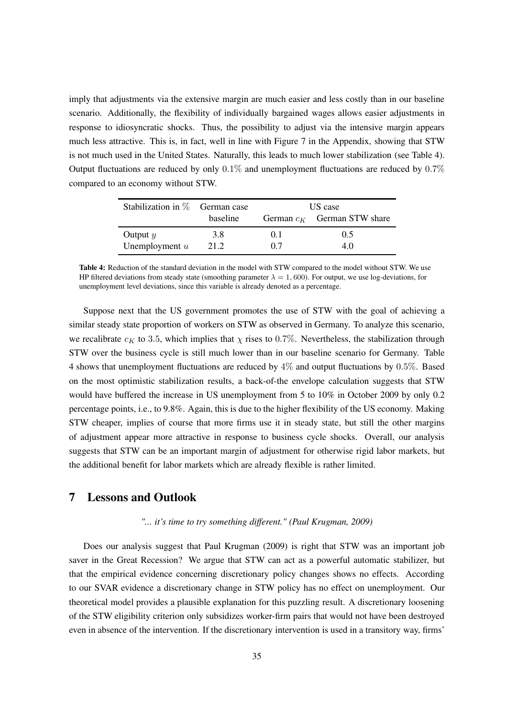imply that adjustments via the extensive margin are much easier and less costly than in our baseline scenario. Additionally, the flexibility of individually bargained wages allows easier adjustments in response to idiosyncratic shocks. Thus, the possibility to adjust via the intensive margin appears much less attractive. This is, in fact, well in line with Figure [7](#page-43-0) in the Appendix, showing that STW is not much used in the United States. Naturally, this leads to much lower stabilization (see Table [4\)](#page-34-1). Output fluctuations are reduced by only  $0.1\%$  and unemployment fluctuations are reduced by  $0.7\%$ compared to an economy without STW.

<span id="page-34-1"></span>

| Stabilization in $\%$ German case |          | US case        |                               |  |
|-----------------------------------|----------|----------------|-------------------------------|--|
|                                   | baseline |                | German $c_K$ German STW share |  |
| Output $y$                        | 3.8      | 0 <sub>1</sub> | 0.5                           |  |
| Unemployment $u$                  | 21.2     | 07             | 4 O                           |  |

Table 4: Reduction of the standard deviation in the model with STW compared to the model without STW. We use HP filtered deviations from steady state (smoothing parameter  $\lambda = 1,600$ ). For output, we use log-deviations, for unemployment level deviations, since this variable is already denoted as a percentage.

Suppose next that the US government promotes the use of STW with the goal of achieving a similar steady state proportion of workers on STW as observed in Germany. To analyze this scenario, we recalibrate  $c_K$  to 3.5, which implies that  $\chi$  rises to 0.7%. Nevertheless, the stabilization through STW over the business cycle is still much lower than in our baseline scenario for Germany. Table [4](#page-34-1) shows that unemployment fluctuations are reduced by 4% and output fluctuations by 0.5%. Based on the most optimistic stabilization results, a back-of-the envelope calculation suggests that STW would have buffered the increase in US unemployment from 5 to 10% in October 2009 by only 0.2 percentage points, i.e., to 9.8%. Again, this is due to the higher flexibility of the US economy. Making STW cheaper, implies of course that more firms use it in steady state, but still the other margins of adjustment appear more attractive in response to business cycle shocks. Overall, our analysis suggests that STW can be an important margin of adjustment for otherwise rigid labor markets, but the additional benefit for labor markets which are already flexible is rather limited.

### <span id="page-34-0"></span>7 Lessons and Outlook

#### *"... it's time to try something different." (Paul Krugman, 2009)*

Does our analysis suggest that Paul [Krugman \(2009\)](#page-39-14) is right that STW was an important job saver in the Great Recession? We argue that STW can act as a powerful automatic stabilizer, but that the empirical evidence concerning discretionary policy changes shows no effects. According to our SVAR evidence a discretionary change in STW policy has no effect on unemployment. Our theoretical model provides a plausible explanation for this puzzling result. A discretionary loosening of the STW eligibility criterion only subsidizes worker-firm pairs that would not have been destroyed even in absence of the intervention. If the discretionary intervention is used in a transitory way, firms'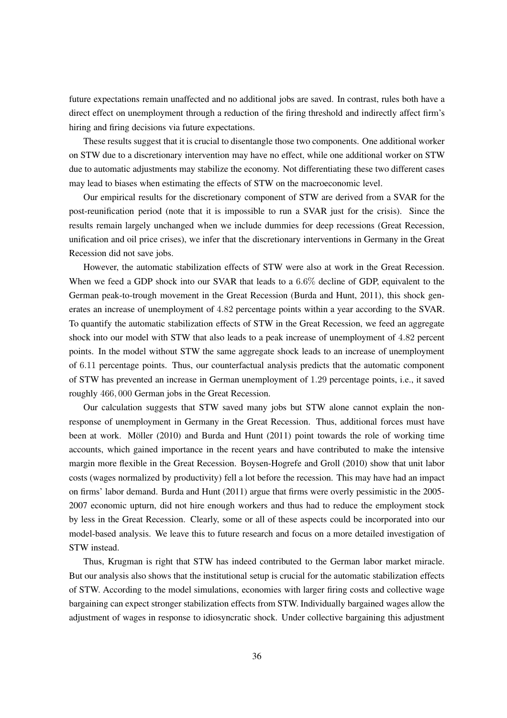future expectations remain unaffected and no additional jobs are saved. In contrast, rules both have a direct effect on unemployment through a reduction of the firing threshold and indirectly affect firm's hiring and firing decisions via future expectations.

These results suggest that it is crucial to disentangle those two components. One additional worker on STW due to a discretionary intervention may have no effect, while one additional worker on STW due to automatic adjustments may stabilize the economy. Not differentiating these two different cases may lead to biases when estimating the effects of STW on the macroeconomic level.

Our empirical results for the discretionary component of STW are derived from a SVAR for the post-reunification period (note that it is impossible to run a SVAR just for the crisis). Since the results remain largely unchanged when we include dummies for deep recessions (Great Recession, unification and oil price crises), we infer that the discretionary interventions in Germany in the Great Recession did not save jobs.

However, the automatic stabilization effects of STW were also at work in the Great Recession. When we feed a GDP shock into our SVAR that leads to a 6.6% decline of GDP, equivalent to the German peak-to-trough movement in the Great Recession [\(Burda and Hunt](#page-38-3), [2011](#page-38-3)), this shock generates an increase of unemployment of 4.82 percentage points within a year according to the SVAR. To quantify the automatic stabilization effects of STW in the Great Recession, we feed an aggregate shock into our model with STW that also leads to a peak increase of unemployment of 4.82 percent points. In the model without STW the same aggregate shock leads to an increase of unemployment of 6.11 percentage points. Thus, our counterfactual analysis predicts that the automatic component of STW has prevented an increase in German unemployment of 1.29 percentage points, i.e., it saved roughly 466, 000 German jobs in the Great Recession.

Our calculation suggests that STW saved many jobs but STW alone cannot explain the nonresponse of unemployment in Germany in the Great Recession. Thus, additional forces must have been at work. [Möller \(2010\)](#page-39-15) and [Burda and Hunt](#page-38-3) [\(2011](#page-38-3)) point towards the role of working time accounts, which gained importance in the recent years and have contributed to make the intensive margin more flexible in the Great Recession. [Boysen-Hogrefe](#page-37-8) and Groll [\(2010](#page-37-8)) show that unit labor costs (wages normalized by productivity) fell a lot before the recession. This may have had an impact on firms' labor demand. [Burda and Hunt \(2011\)](#page-38-3) argue that firms were overly pessimistic in the 2005- 2007 economic upturn, did not hire enough workers and thus had to reduce the employment stock by less in the Great Recession. Clearly, some or all of these aspects could be incorporated into our model-based analysis. We leave this to future research and focus on a more detailed investigation of STW instead.

Thus, Krugman is right that STW has indeed contributed to the German labor market miracle. But our analysis also shows that the institutional setup is crucial for the automatic stabilization effects of STW. According to the model simulations, economies with larger firing costs and collective wage bargaining can expect stronger stabilization effects from STW. Individually bargained wages allow the adjustment of wages in response to idiosyncratic shock. Under collective bargaining this adjustment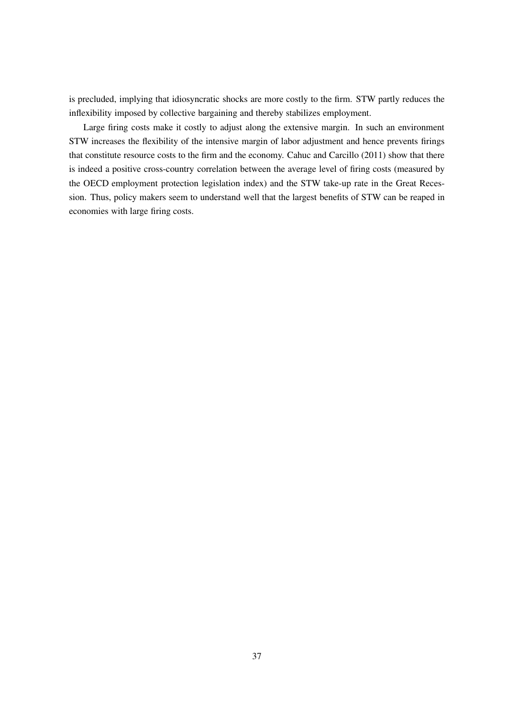is precluded, implying that idiosyncratic shocks are more costly to the firm. STW partly reduces the inflexibility imposed by collective bargaining and thereby stabilizes employment.

Large firing costs make it costly to adjust along the extensive margin. In such an environment STW increases the flexibility of the intensive margin of labor adjustment and hence prevents firings that constitute resource costs to the firm and the economy. [Cahuc and Carcillo](#page-38-0) [\(2011](#page-38-0)) show that there is indeed a positive cross-country correlation between the average level of firing costs (measured by the OECD employment protection legislation index) and the STW take-up rate in the Great Recession. Thus, policy makers seem to understand well that the largest benefits of STW can be reaped in economies with large firing costs.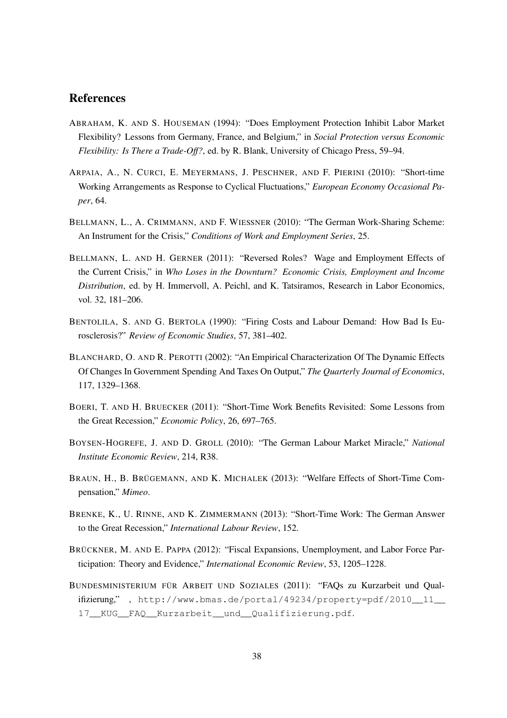### References

- <span id="page-37-9"></span>ABRAHAM, K. AND S. HOUSEMAN (1994): "Does Employment Protection Inhibit Labor Market Flexibility? Lessons from Germany, France, and Belgium," in *Social Protection versus Economic Flexibility: Is There a Trade-Off?*, ed. by R. Blank, University of Chicago Press, 59–94.
- <span id="page-37-1"></span>ARPAIA, A., N. CURCI, E. MEYERMANS, J. PESCHNER, AND F. PIERINI (2010): "Short-time Working Arrangements as Response to Cyclical Fluctuations," *European Economy Occasional Paper*, 64.
- <span id="page-37-2"></span>BELLMANN, L., A. CRIMMANN, AND F. WIESSNER (2010): "The German Work-Sharing Scheme: An Instrument for the Crisis," *Conditions of Work and Employment Series*, 25.
- <span id="page-37-3"></span>BELLMANN, L. AND H. GERNER (2011): "Reversed Roles? Wage and Employment Effects of the Current Crisis," in *Who Loses in the Downturn? Economic Crisis, Employment and Income Distribution*, ed. by H. Immervoll, A. Peichl, and K. Tatsiramos, Research in Labor Economics, vol. 32, 181–206.
- <span id="page-37-11"></span>BENTOLILA, S. AND G. BERTOLA (1990): "Firing Costs and Labour Demand: How Bad Is Eurosclerosis?" *Review of Economic Studies*, 57, 381–402.
- <span id="page-37-4"></span>BLANCHARD, O. AND R. PEROTTI (2002): "An Empirical Characterization Of The Dynamic Effects Of Changes In Government Spending And Taxes On Output," *The Quarterly Journal of Economics*, 117, 1329–1368.
- <span id="page-37-0"></span>BOERI, T. AND H. BRUECKER (2011): "Short-Time Work Benefits Revisited: Some Lessons from the Great Recession," *Economic Policy*, 26, 697–765.
- <span id="page-37-8"></span>BOYSEN-HOGREFE, J. AND D. GROLL (2010): "The German Labour Market Miracle," *National Institute Economic Review*, 214, R38.
- <span id="page-37-6"></span>BRAUN, H., B. BRÜGEMANN, AND K. MICHALEK (2013): "Welfare Effects of Short-Time Compensation," *Mimeo*.
- <span id="page-37-7"></span>BRENKE, K., U. RINNE, AND K. ZIMMERMANN (2013): "Short-Time Work: The German Answer to the Great Recession," *International Labour Review*, 152.
- <span id="page-37-5"></span>BRÜCKNER, M. AND E. PAPPA (2012): "Fiscal Expansions, Unemployment, and Labor Force Participation: Theory and Evidence," *International Economic Review*, 53, 1205–1228.
- <span id="page-37-10"></span>BUNDESMINISTERIUM FÜR ARBEIT UND SOZIALES (2011): "FAQs zu Kurzarbeit und Qualifizierung," , [http://www.bmas.de/portal/49234/property=pdf/2010\\_\\_11\\_\\_](http://www.bmas.de/portal/49234/property=pdf/2010__11__17__KUG__FAQ__Kurzarbeit__und__Qualifizierung.pdf) [17\\_\\_KUG\\_\\_FAQ\\_\\_Kurzarbeit\\_\\_und\\_\\_Qualifizierung.pdf](http://www.bmas.de/portal/49234/property=pdf/2010__11__17__KUG__FAQ__Kurzarbeit__und__Qualifizierung.pdf).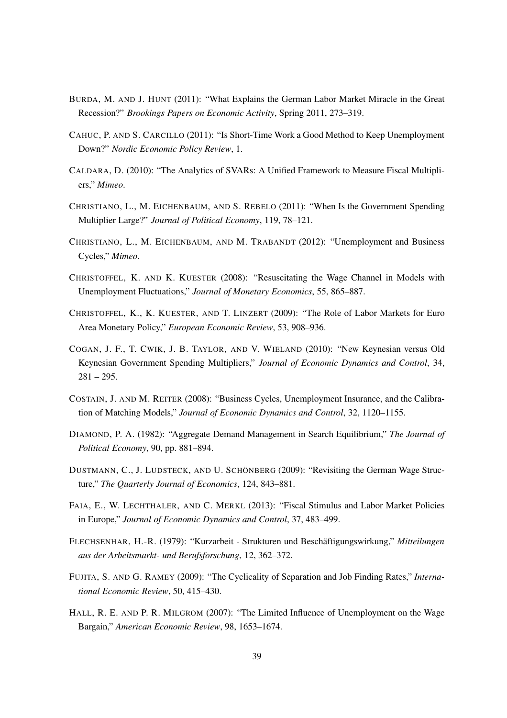- <span id="page-38-3"></span>BURDA, M. AND J. HUNT (2011): "What Explains the German Labor Market Miracle in the Great Recession?" *Brookings Papers on Economic Activity*, Spring 2011, 273–319.
- <span id="page-38-0"></span>CAHUC, P. AND S. CARCILLO (2011): "Is Short-Time Work a Good Method to Keep Unemployment Down?" *Nordic Economic Policy Review*, 1.
- <span id="page-38-8"></span>CALDARA, D. (2010): "The Analytics of SVARs: A Unified Framework to Measure Fiscal Multipliers," *Mimeo*.
- <span id="page-38-2"></span>CHRISTIANO, L., M. EICHENBAUM, AND S. REBELO (2011): "When Is the Government Spending Multiplier Large?" *Journal of Political Economy*, 119, 78–121.
- <span id="page-38-13"></span>CHRISTIANO, L., M. EICHENBAUM, AND M. TRABANDT (2012): "Unemployment and Business Cycles," *Mimeo*.
- <span id="page-38-10"></span>CHRISTOFFEL, K. AND K. KUESTER (2008): "Resuscitating the Wage Channel in Models with Unemployment Fluctuations," *Journal of Monetary Economics*, 55, 865–887.
- <span id="page-38-14"></span>CHRISTOFFEL, K., K. KUESTER, AND T. LINZERT (2009): "The Role of Labor Markets for Euro Area Monetary Policy," *European Economic Review*, 53, 908–936.
- <span id="page-38-1"></span>COGAN, J. F., T. CWIK, J. B. TAYLOR, AND V. WIELAND (2010): "New Keynesian versus Old Keynesian Government Spending Multipliers," *Journal of Economic Dynamics and Control*, 34,  $281 - 295$ .
- <span id="page-38-11"></span>COSTAIN, J. AND M. REITER (2008): "Business Cycles, Unemployment Insurance, and the Calibration of Matching Models," *Journal of Economic Dynamics and Control*, 32, 1120–1155.
- <span id="page-38-9"></span>DIAMOND, P. A. (1982): "Aggregate Demand Management in Search Equilibrium," *The Journal of Political Economy*, 90, pp. 881–894.
- <span id="page-38-7"></span>DUSTMANN, C., J. LUDSTECK, AND U. SCHÖNBERG (2009): "Revisiting the German Wage Structure," *The Quarterly Journal of Economics*, 124, 843–881.
- <span id="page-38-4"></span>FAIA, E., W. LECHTHALER, AND C. MERKL (2013): "Fiscal Stimulus and Labor Market Policies in Europe," *Journal of Economic Dynamics and Control*, 37, 483–499.
- <span id="page-38-5"></span>FLECHSENHAR, H.-R. (1979): "Kurzarbeit - Strukturen und Beschäftigungswirkung," *Mitteilungen aus der Arbeitsmarkt- und Berufsforschung*, 12, 362–372.
- <span id="page-38-6"></span>FUJITA, S. AND G. RAMEY (2009): "The Cyclicality of Separation and Job Finding Rates," *International Economic Review*, 50, 415–430.
- <span id="page-38-12"></span>HALL, R. E. AND P. R. MILGROM (2007): "The Limited Influence of Unemployment on the Wage Bargain," *American Economic Review*, 98, 1653–1674.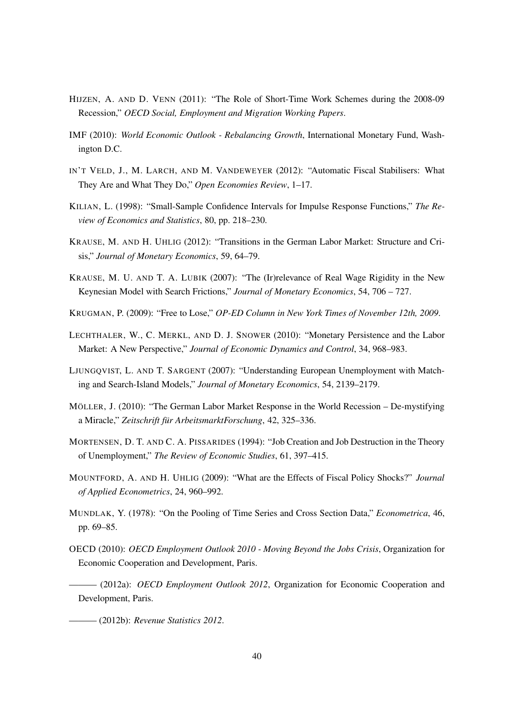- <span id="page-39-0"></span>HIJZEN, A. AND D. VENN (2011): "The Role of Short-Time Work Schemes during the 2008-09 Recession," *OECD Social, Employment and Migration Working Papers*.
- <span id="page-39-1"></span>IMF (2010): *World Economic Outlook - Rebalancing Growth*, International Monetary Fund, Washington D.C.
- <span id="page-39-12"></span>IN'T VELD, J., M. LARCH, AND M. VANDEWEYER (2012): "Automatic Fiscal Stabilisers: What They Are and What They Do," *Open Economies Review*, 1–17.
- <span id="page-39-7"></span>KILIAN, L. (1998): "Small-Sample Confidence Intervals for Impulse Response Functions," *The Review of Economics and Statistics*, 80, pp. 218–230.
- <span id="page-39-4"></span>KRAUSE, M. AND H. UHLIG (2012): "Transitions in the German Labor Market: Structure and Crisis," *Journal of Monetary Economics*, 59, 64–79.
- <span id="page-39-11"></span>KRAUSE, M. U. AND T. A. LUBIK (2007): "The (Ir)relevance of Real Wage Rigidity in the New Keynesian Model with Search Frictions," *Journal of Monetary Economics*, 54, 706 – 727.
- <span id="page-39-14"></span>KRUGMAN, P. (2009): "Free to Lose," *OP-ED Column in New York Times of November 12th, 2009*.
- <span id="page-39-10"></span>LECHTHALER, W., C. MERKL, AND D. J. SNOWER (2010): "Monetary Persistence and the Labor Market: A New Perspective," *Journal of Economic Dynamics and Control*, 34, 968–983.
- <span id="page-39-5"></span>LJUNGQVIST, L. AND T. SARGENT (2007): "Understanding European Unemployment with Matching and Search-Island Models," *Journal of Monetary Economics*, 54, 2139–2179.
- <span id="page-39-15"></span>MÖLLER, J. (2010): "The German Labor Market Response in the World Recession – De-mystifying a Miracle," *Zeitschrift für ArbeitsmarktForschung*, 42, 325–336.
- <span id="page-39-8"></span>MORTENSEN, D. T. AND C. A. PISSARIDES (1994): "Job Creation and Job Destruction in the Theory of Unemployment," *The Review of Economic Studies*, 61, 397–415.
- <span id="page-39-3"></span>MOUNTFORD, A. AND H. UHLIG (2009): "What are the Effects of Fiscal Policy Shocks?" *Journal of Applied Econometrics*, 24, 960–992.
- <span id="page-39-6"></span>MUNDLAK, Y. (1978): "On the Pooling of Time Series and Cross Section Data," *Econometrica*, 46, pp. 69–85.
- <span id="page-39-2"></span>OECD (2010): *OECD Employment Outlook 2010 - Moving Beyond the Jobs Crisis*, Organization for Economic Cooperation and Development, Paris.

<span id="page-39-9"></span>——— (2012a): *OECD Employment Outlook 2012*, Organization for Economic Cooperation and Development, Paris.

<span id="page-39-13"></span>——— (2012b): *Revenue Statistics 2012*.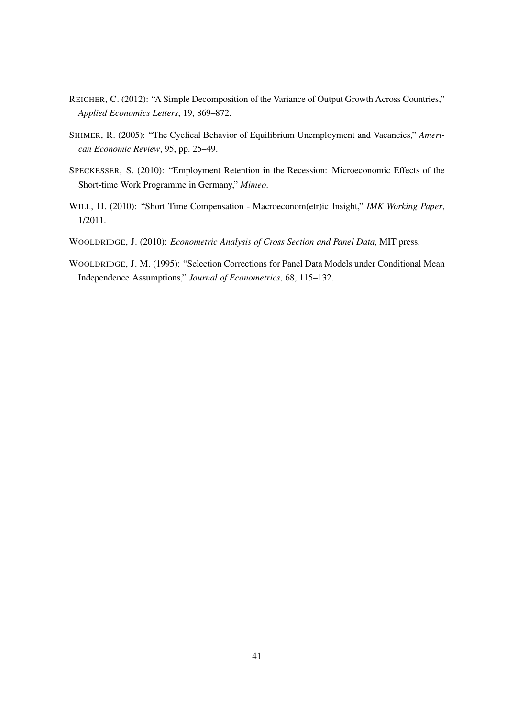- <span id="page-40-2"></span>REICHER, C. (2012): "A Simple Decomposition of the Variance of Output Growth Across Countries," *Applied Economics Letters*, 19, 869–872.
- <span id="page-40-5"></span>SHIMER, R. (2005): "The Cyclical Behavior of Equilibrium Unemployment and Vacancies," *American Economic Review*, 95, pp. 25–49.
- <span id="page-40-0"></span>SPECKESSER, S. (2010): "Employment Retention in the Recession: Microeconomic Effects of the Short-time Work Programme in Germany," *Mimeo*.
- <span id="page-40-1"></span>WILL, H. (2010): "Short Time Compensation - Macroeconom(etr)ic Insight," *IMK Working Paper*, 1/2011.
- <span id="page-40-3"></span>WOOLDRIDGE, J. (2010): *Econometric Analysis of Cross Section and Panel Data*, MIT press.
- <span id="page-40-4"></span>WOOLDRIDGE, J. M. (1995): "Selection Corrections for Panel Data Models under Conditional Mean Independence Assumptions," *Journal of Econometrics*, 68, 115–132.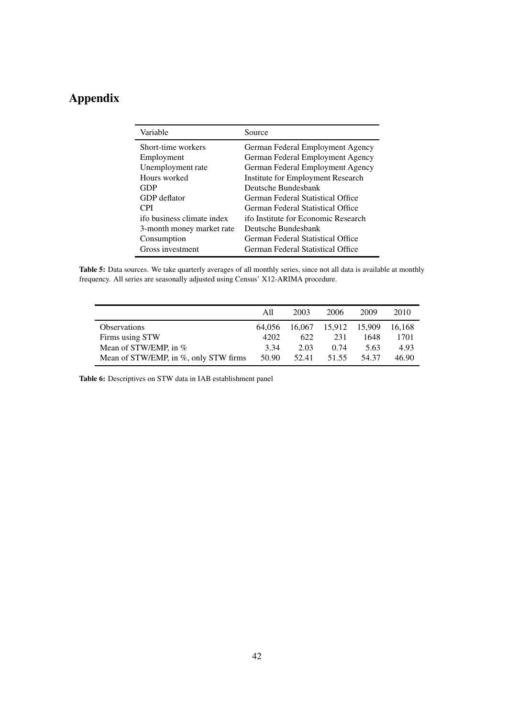## <span id="page-41-0"></span>Appendix

| Source                              |
|-------------------------------------|
| German Federal Employment Agency    |
| German Federal Employment Agency    |
| German Federal Employment Agency    |
| Institute for Employment Research   |
| Deutsche Bundesbank                 |
| German Federal Statistical Office   |
| German Federal Statistical Office   |
| ifo Institute for Economic Research |
| Deutsche Bundesbank                 |
| German Federal Statistical Office   |
| German Federal Statistical Office   |
|                                     |

<span id="page-41-1"></span>Table 5: Data sources. We take quarterly averages of all monthly series, since not all data is available at monthly frequency. All series are seasonally adjusted using Census' X12-ARIMA procedure.

|                                       | All    | 2003   | 2006   | 2009   | 2010   |
|---------------------------------------|--------|--------|--------|--------|--------|
| <b>Observations</b>                   | 64.056 | 16.067 | 15.912 | 15.909 | 16.168 |
| Firms using STW                       | 4202   | 622    | 231    | 1648   | 1701   |
| Mean of STW/EMP, in %                 | 3.34   | 2.03   | 0.74   | 5.63   | 4.93   |
| Mean of STW/EMP, in %, only STW firms | 50.90  | 52.41  | 51.55  | 54.37  | 46.90  |

Table 6: Descriptives on STW data in IAB establishment panel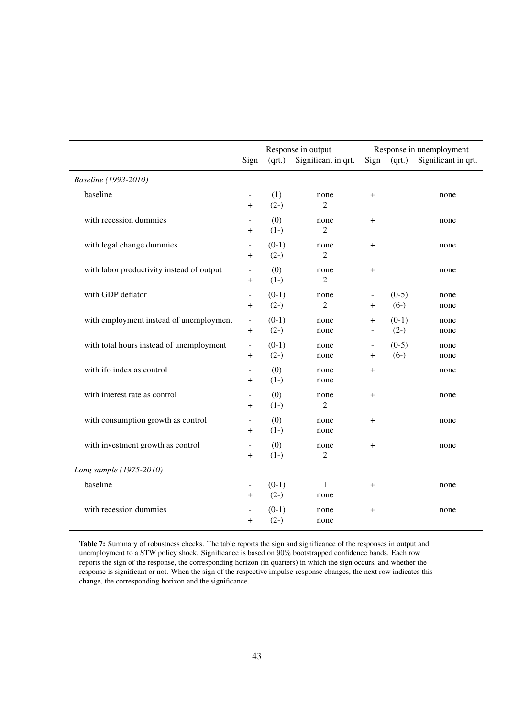<span id="page-42-0"></span>

|                                           | Sign                                 | Response in output<br>Significant in qrt.<br>(qrt.) |                        | Response in unemployment<br>(qrt.)<br>Sign |                   | Significant in qrt. |
|-------------------------------------------|--------------------------------------|-----------------------------------------------------|------------------------|--------------------------------------------|-------------------|---------------------|
| Baseline (1993-2010)                      |                                      |                                                     |                        |                                            |                   |                     |
| baseline                                  | $+$                                  | (1)<br>$(2-)$                                       | none<br>2              | $\pm$                                      |                   | none                |
| with recession dummies                    | $^{+}$                               | (0)<br>$(1-)$                                       | none<br>$\overline{2}$ | $\pmb{+}$                                  |                   | none                |
| with legal change dummies                 | $\overline{\phantom{a}}$<br>$^{+}$   | $(0-1)$<br>$(2-)$                                   | none<br>$\overline{2}$ | $\ddot{}$                                  |                   | none                |
| with labor productivity instead of output | $\overline{+}$                       | (0)<br>$(1-)$                                       | none<br>$\overline{2}$ | $\overline{+}$                             |                   | none                |
| with GDP deflator                         | $\overline{\phantom{a}}$<br>$\,{}^+$ | $(0-1)$<br>$(2-)$                                   | none<br>$\overline{2}$ | $\ddot{}$                                  | $(0-5)$<br>$(6-)$ | none<br>none        |
| with employment instead of unemployment   | $\Box$<br>$\pm$                      | $(0-1)$<br>$(2-)$                                   | none<br>none           | $\ddot{}$<br>$\blacksquare$                | $(0-1)$<br>$(2-)$ | none<br>none        |
| with total hours instead of unemployment  | $\overline{\phantom{a}}$<br>$\pm$    | $(0-1)$<br>$(2-)$                                   | none<br>none           | $\overline{\phantom{a}}$<br>$\pm$          | $(0-5)$<br>$(6-)$ | none<br>none        |
| with ifo index as control                 | $\blacksquare$<br>$\pmb{+}$          | (0)<br>$(1-)$                                       | none<br>none           | $\ddot{}$                                  |                   | none                |
| with interest rate as control             | $^{+}$                               | (0)<br>$(1-)$                                       | none<br>$\overline{2}$ | $^{+}$                                     |                   | none                |
| with consumption growth as control        | $^{+}$                               | (0)<br>$(1-)$                                       | none<br>none           | $\ddot{}$                                  |                   | none                |
| with investment growth as control         | $\,{}^+$                             | (0)<br>$(1-)$                                       | none<br>2              | $^{+}$                                     |                   | none                |
| Long sample (1975-2010)                   |                                      |                                                     |                        |                                            |                   |                     |
| baseline                                  | $\overline{+}$                       | $(0-1)$<br>$(2-)$                                   | 1<br>none              | $\ddot{}$                                  |                   | none                |
| with recession dummies                    | $\overline{+}$                       | $(0-1)$<br>$(2-)$                                   | none<br>none           | $\mathrm{+}$                               |                   | none                |

Table 7: Summary of robustness checks. The table reports the sign and significance of the responses in output and unemployment to a STW policy shock. Significance is based on 90% bootstrapped confidence bands. Each row reports the sign of the response, the corresponding horizon (in quarters) in which the sign occurs, and whether the response is significant or not. When the sign of the respective impulse-response changes, the next row indicates this change, the corresponding horizon and the significance.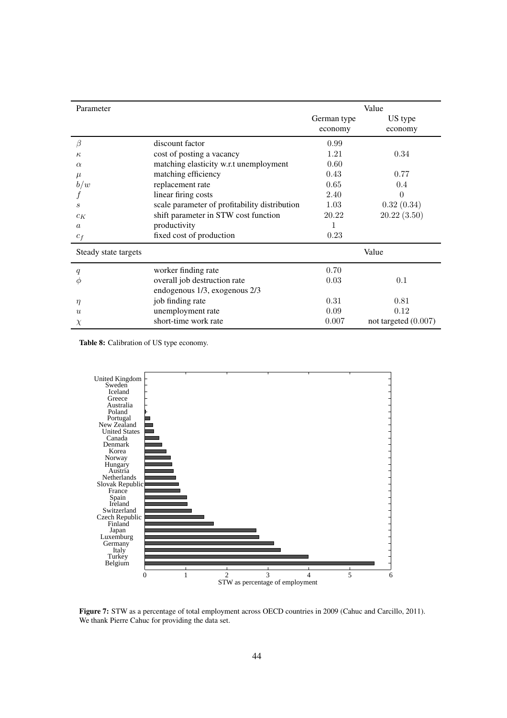<span id="page-43-1"></span>

| Parameter            |                                               | Value       |                        |  |  |
|----------------------|-----------------------------------------------|-------------|------------------------|--|--|
|                      |                                               | German type | US type                |  |  |
|                      |                                               | economy     | economy                |  |  |
| Β                    | discount factor                               | 0.99        |                        |  |  |
| $\kappa$             | cost of posting a vacancy                     | 1.21        | 0.34                   |  |  |
| $\alpha$             | matching elasticity w.r.t unemployment        | 0.60        |                        |  |  |
| $\mu$                | matching efficiency                           | 0.43        | 0.77                   |  |  |
| b/w                  | replacement rate                              | 0.65        | 0.4                    |  |  |
|                      | linear firing costs                           | 2.40        | $\theta$               |  |  |
| S                    | scale parameter of profitability distribution | 1.03        | 0.32(0.34)             |  |  |
| $c_K$                | shift parameter in STW cost function          | 20.22       | 20.22(3.50)            |  |  |
| $\alpha$             | productivity                                  |             |                        |  |  |
| $c_f$                | fixed cost of production                      | 0.23        |                        |  |  |
| Steady state targets |                                               |             | Value                  |  |  |
| q                    | worker finding rate                           | 0.70        |                        |  |  |
| Ф                    | overall job destruction rate                  | 0.03        | 0.1                    |  |  |
|                      | endogenous 1/3, exogenous 2/3                 |             |                        |  |  |
| $\eta$               | job finding rate                              | 0.31        | 0.81                   |  |  |
| $\mathcal{U}$        | unemployment rate                             | 0.09        | 0.12                   |  |  |
| $\chi$               | short-time work rate                          | 0.007       | not targeted $(0.007)$ |  |  |

Table 8: Calibration of US type economy.

<span id="page-43-0"></span>

Figure 7: STW as a percentage of total employment across OECD countries in 2009 [\(Cahuc and Carcillo, 2011](#page-38-0)). We thank Pierre Cahuc for providing the data set.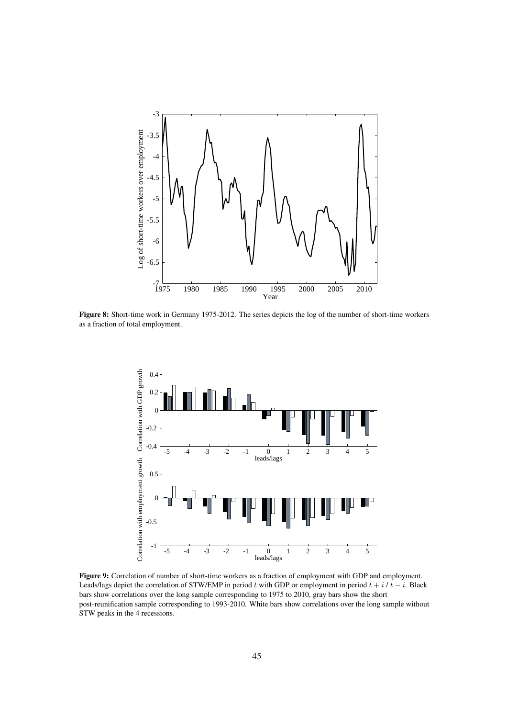<span id="page-44-0"></span>

<span id="page-44-1"></span>Figure 8: Short-time work in Germany 1975-2012. The series depicts the log of the number of short-time workers as a fraction of total employment.



Figure 9: Correlation of number of short-time workers as a fraction of employment with GDP and employment. Leads/lags depict the correlation of STW/EMP in period t with GDP or employment in period  $t + i/t - i$ . Black bars show correlations over the long sample corresponding to 1975 to 2010, gray bars show the short post-reunification sample corresponding to 1993-2010. White bars show correlations over the long sample without STW peaks in the 4 recessions.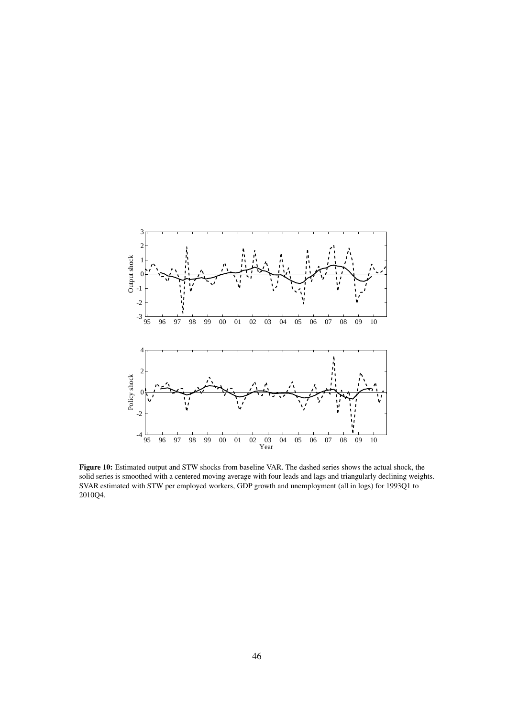<span id="page-45-0"></span>

Figure 10: Estimated output and STW shocks from baseline VAR. The dashed series shows the actual shock, the solid series is smoothed with a centered moving average with four leads and lags and triangularly declining weights. SVAR estimated with STW per employed workers, GDP growth and unemployment (all in logs) for 1993Q1 to 2010Q4.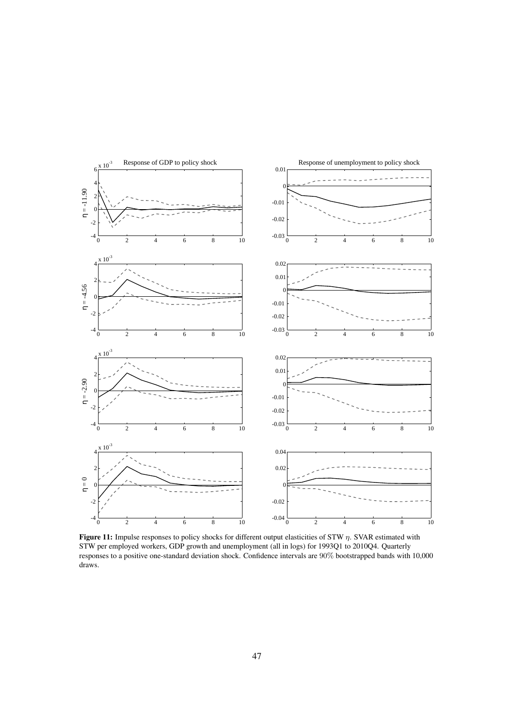<span id="page-46-0"></span>

Figure 11: Impulse responses to policy shocks for different output elasticities of STW  $\eta$ . SVAR estimated with STW per employed workers, GDP growth and unemployment (all in logs) for 1993Q1 to 2010Q4. Quarterly responses to a positive one-standard deviation shock. Confidence intervals are 90% bootstrapped bands with 10,000 draws.